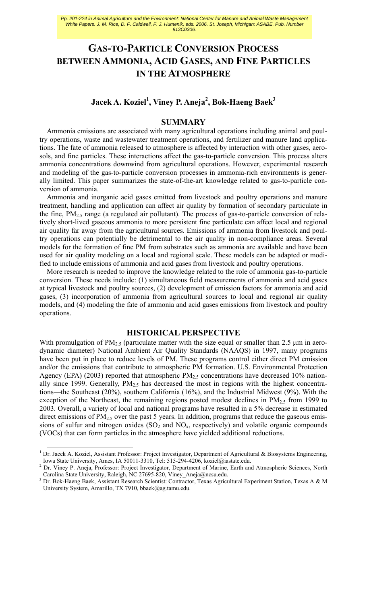# **GAS-TO-PARTICLE CONVERSION PROCESS BETWEEN AMMONIA, ACID GASES, AND FINE PARTICLES IN THE ATMOSPHERE**

## **Jacek A. Koziel<sup>1</sup> , Viney P. Aneja<sup>2</sup> , Bok-Haeng Baek3**

## **SUMMARY**

Ammonia emissions are associated with many agricultural operations including animal and poultry operations, waste and wastewater treatment operations, and fertilizer and manure land applications. The fate of ammonia released to atmosphere is affected by interaction with other gases, aerosols, and fine particles. These interactions affect the gas-to-particle conversion. This process alters ammonia concentrations downwind from agricultural operations. However, experimental research and modeling of the gas-to-particle conversion processes in ammonia-rich environments is generally limited. This paper summarizes the state-of-the-art knowledge related to gas-to-particle conversion of ammonia.

Ammonia and inorganic acid gases emitted from livestock and poultry operations and manure treatment, handling and application can affect air quality by formation of secondary particulate in the fine,  $PM_{2.5}$  range (a regulated air pollutant). The process of gas-to-particle conversion of relatively short-lived gaseous ammonia to more persistent fine particulate can affect local and regional air quality far away from the agricultural sources. Emissions of ammonia from livestock and poultry operations can potentially be detrimental to the air quality in non-compliance areas. Several models for the formation of fine PM from substrates such as ammonia are available and have been used for air quality modeling on a local and regional scale. These models can be adapted or modified to include emissions of ammonia and acid gases from livestock and poultry operations.

More research is needed to improve the knowledge related to the role of ammonia gas-to-particle conversion. These needs include: (1) simultaneous field measurements of ammonia and acid gases at typical livestock and poultry sources, (2) development of emission factors for ammonia and acid gases, (3) incorporation of ammonia from agricultural sources to local and regional air quality models, and (4) modeling the fate of ammonia and acid gases emissions from livestock and poultry operations.

## **HISTORICAL PERSPECTIVE**

With promulgation of  $PM_{2.5}$  (particulate matter with the size equal or smaller than 2.5  $\mu$ m in aerodynamic diameter) National Ambient Air Quality Standards (NAAQS) in 1997, many programs have been put in place to reduce levels of PM. These programs control either direct PM emission and/or the emissions that contribute to atmospheric PM formation. U.S. Environmental Protection Agency (EPA) (2003) reported that atmospheric  $PM<sub>2.5</sub>$  concentrations have decreased 10% nationally since 1999. Generally,  $PM_{2.5}$  has decreased the most in regions with the highest concentrations—the Southeast (20%), southern California (16%), and the Industrial Midwest (9%). With the exception of the Northeast, the remaining regions posted modest declines in  $PM_{2.5}$  from 1999 to 2003. Overall, a variety of local and national programs have resulted in a 5% decrease in estimated direct emissions of  $PM_{2.5}$  over the past 5 years. In addition, programs that reduce the gaseous emissions of sulfur and nitrogen oxides  $(SO<sub>2</sub>$  and  $NO<sub>x</sub>$ , respectively) and volatile organic compounds (VOCs) that can form particles in the atmosphere have yielded additional reductions.

<sup>1&</sup>lt;br>
<sup>1</sup> Dr. Jacek A. Koziel, Assistant Professor: Project Investigator, Department of Agricultural & Biosystems Engineering, Iowa State University, Ames, IA 50011-3310, Tel: 515-294-4206, koziel@iastate.edu.

<sup>&</sup>lt;sup>2</sup> Dr. Viney P. Aneja, Professor: Project Investigator, Department of Marine, Earth and Atmospheric Sciences, North Carolina State University, Raleigh, NC 27695-820, Viney\_Aneja@ncsu.edu.

<sup>&</sup>lt;sup>3</sup> Dr. Bok-Haeng Baek, Assistant Research Scientist: Contractor, Texas Agricultural Experiment Station, Texas A & M University System, Amarillo, TX 7910, bbaek@ag.tamu.edu.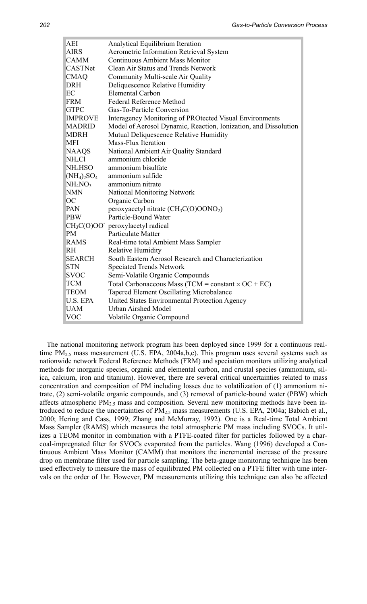| AEI                             | Analytical Equilibrium Iteration                                |
|---------------------------------|-----------------------------------------------------------------|
| <b>AIRS</b>                     | Aerometric Information Retrieval System                         |
| <b>CAMM</b>                     | <b>Continuous Ambient Mass Monitor</b>                          |
| CASTNet                         | <b>Clean Air Status and Trends Network</b>                      |
| <b>CMAQ</b>                     | Community Multi-scale Air Quality                               |
| DRH                             | Deliquescence Relative Humidity                                 |
| EC                              | <b>Elemental Carbon</b>                                         |
| FRM                             | <b>Federal Reference Method</b>                                 |
| <b>GTPC</b>                     | Gas-To-Particle Conversion                                      |
| <b>IMPROVE</b>                  | Interagency Monitoring of PROtected Visual Environments         |
| MADRID                          | Model of Aerosol Dynamic, Reaction, Ionization, and Dissolution |
| MDRH                            | Mutual Deliquescence Relative Humidity                          |
| MFI                             | Mass-Flux Iteration                                             |
| NAAQS                           | National Ambient Air Quality Standard                           |
| NH4Cl                           | ammonium chloride                                               |
| NH4HSO                          | ammonium bisulfate                                              |
| $(NH_4)_2SO_4$                  | ammonium sulfide                                                |
| NH <sub>4</sub> NO <sub>3</sub> | ammonium nitrate                                                |
| NMN                             | National Monitoring Network                                     |
| ОC                              | Organic Carbon                                                  |
| PAN                             | peroxyacetyl nitrate $(CH_3C(O)OONO_2)$                         |
| PBW                             | Particle-Bound Water                                            |
|                                 | $CH3C(O)OO- peroxylacetyl radial$                               |
| PM                              | Particulate Matter                                              |
| <b>RAMS</b>                     | Real-time total Ambient Mass Sampler                            |
| RH                              | <b>Relative Humidity</b>                                        |
| <b>SEARCH</b>                   | South Eastern Aerosol Research and Characterization             |
| STN                             | <b>Speciated Trends Network</b>                                 |
| SVOC                            | Semi-Volatile Organic Compounds                                 |
| <b>TCM</b>                      | Total Carbonaceous Mass (TCM = constant $\times$ OC + EC)       |
| <b>TEOM</b>                     | <b>Tapered Element Oscillating Microbalance</b>                 |
| U.S. EPA                        | United States Environmental Protection Agency                   |
| UAM                             | <b>Urban Airshed Model</b>                                      |
| VOC                             | Volatile Organic Compound                                       |

The national monitoring network program has been deployed since 1999 for a continuous realtime  $PM<sub>2.5</sub>$  mass measurement (U.S. EPA, 2004a,b,c). This program uses several systems such as nationwide network Federal Reference Methods (FRM) and speciation monitors utilizing analytical methods for inorganic species, organic and elemental carbon, and crustal species (ammonium, silica, calcium, iron and titanium). However, there are several critical uncertainties related to mass concentration and composition of PM including losses due to volatilization of (1) ammonium nitrate, (2) semi-volatile organic compounds, and (3) removal of particle-bound water (PBW) which affects atmospheric  $PM_{2.5}$  mass and composition. Several new monitoring methods have been introduced to reduce the uncertainties of  $PM_{2.5}$  mass measurements (U.S. EPA, 2004a; Babich et al., 2000; Hering and Cass, 1999; Zhang and McMurray, 1992). One is a Real-time Total Ambient Mass Sampler (RAMS) which measures the total atmospheric PM mass including SVOCs. It utilizes a TEOM monitor in combination with a PTFE-coated filter for particles followed by a charcoal-impregnated filter for SVOCs evaporated from the particles. Wang (1996) developed a Continuous Ambient Mass Monitor (CAMM) that monitors the incremental increase of the pressure drop on membrane filter used for particle sampling. The beta-gauge monitoring technique has been used effectively to measure the mass of equilibrated PM collected on a PTFE filter with time intervals on the order of 1hr. However, PM measurements utilizing this technique can also be affected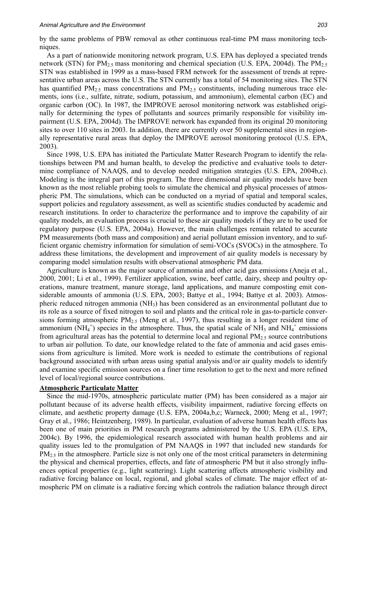by the same problems of PBW removal as other continuous real-time PM mass monitoring techniques.

As a part of nationwide monitoring network program, U.S. EPA has deployed a speciated trends network (STN) for  $PM_{2.5}$  mass monitoring and chemical speciation (U.S. EPA, 2004d). The  $PM_{2.5}$ STN was established in 1999 as a mass-based FRM network for the assessment of trends at representative urban areas across the U.S. The STN currently has a total of 54 monitoring sites. The STN has quantified  $PM_{2.5}$  mass concentrations and  $PM_{2.5}$  constituents, including numerous trace elements, ions (i.e., sulfate, nitrate, sodium, potassium, and ammonium), elemental carbon (EC) and organic carbon (OC). In 1987, the IMPROVE aerosol monitoring network was established originally for determining the types of pollutants and sources primarily responsible for visibility impairment (U.S. EPA, 2004d). The IMPROVE network has expanded from its original 20 monitoring sites to over 110 sites in 2003. In addition, there are currently over 50 supplemental sites in regionally representative rural areas that deploy the IMPROVE aerosol monitoring protocol (U.S. EPA, 2003).

Since 1998, U.S. EPA has initiated the Particulate Matter Research Program to identify the relationships between PM and human health, to develop the predictive and evaluative tools to determine compliance of NAAQS, and to develop needed mitigation strategies (U.S. EPA, 2004b,c). Modeling is the integral part of this program. The three dimensional air quality models have been known as the most reliable probing tools to simulate the chemical and physical processes of atmospheric PM. The simulations, which can be conducted on a myriad of spatial and temporal scales, support policies and regulatory assessment, as well as scientific studies conducted by academic and research institutions. In order to characterize the performance and to improve the capability of air quality models, an evaluation process is crucial to these air quality models if they are to be used for regulatory purpose (U.S. EPA, 2004a). However, the main challenges remain related to accurate PM measurements (both mass and composition) and aerial pollutant emission inventory, and to sufficient organic chemistry information for simulation of semi-VOCs (SVOCs) in the atmosphere. To address these limitations, the development and improvement of air quality models is necessary by comparing model simulation results with observational atmospheric PM data.

Agriculture is known as the major source of ammonia and other acid gas emissions (Aneja et al., 2000, 2001; Li et al., 1999). Fertilizer application, swine, beef cattle, dairy, sheep and poultry operations, manure treatment, manure storage, land applications, and manure composting emit considerable amounts of ammonia (U.S. EPA, 2003; Battye et al., 1994; Battye et al. 2003). Atmospheric reduced nitrogen ammonia (NH3) has been considered as an environmental pollutant due to its role as a source of fixed nitrogen to soil and plants and the critical role in gas-to-particle conversions forming atmospheric  $PM_{2.5}$  (Meng et al., 1997), thus resulting in a longer resident time of ammonium (NH<sub>4</sub><sup>+</sup>) species in the atmosphere. Thus, the spatial scale of NH<sub>3</sub> and NH<sub>4</sub><sup>+</sup> emissions from agricultural areas has the potential to determine local and regional  $PM<sub>2.5</sub>$  source contributions to urban air pollution. To date, our knowledge related to the fate of ammonia and acid gases emissions from agriculture is limited. More work is needed to estimate the contributions of regional background associated with urban areas using spatial analysis and/or air quality models to identify and examine specific emission sources on a finer time resolution to get to the next and more refined level of local/regional source contributions.

#### **Atmospheric Particulate Matter**

Since the mid-1970s, atmospheric particulate matter (PM) has been considered as a major air pollutant because of its adverse health effects, visibility impairment, radiative forcing effects on climate, and aesthetic property damage (U.S. EPA, 2004a,b,c; Warneck, 2000; Meng et al., 1997; Gray et al., 1986; Heintzenberg, 1989). In particular, evaluation of adverse human health effects has been one of main priorities in PM research programs administered by the U.S. EPA (U.S. EPA, 2004c). By 1996, the epidemiological research associated with human health problems and air quality issues led to the promulgation of PM NAAQS in 1997 that included new standards for PM<sub>2.5</sub> in the atmosphere. Particle size is not only one of the most critical parameters in determining the physical and chemical properties, effects, and fate of atmospheric PM but it also strongly influences optical properties (e.g., light scattering). Light scattering affects atmospheric visibility and radiative forcing balance on local, regional, and global scales of climate. The major effect of atmospheric PM on climate is a radiative forcing which controls the radiation balance through direct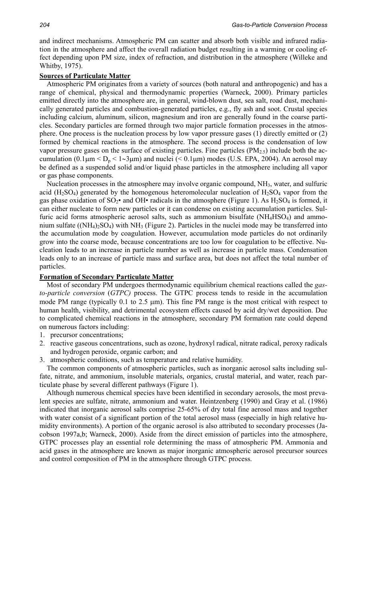and indirect mechanisms. Atmospheric PM can scatter and absorb both visible and infrared radiation in the atmosphere and affect the overall radiation budget resulting in a warming or cooling effect depending upon PM size, index of refraction, and distribution in the atmosphere (Willeke and Whitby, 1975).

#### **Sources of Particulate Matter**

Atmospheric PM originates from a variety of sources (both natural and anthropogenic) and has a range of chemical, physical and thermodynamic properties (Warneck, 2000). Primary particles emitted directly into the atmosphere are, in general, wind-blown dust, sea salt, road dust, mechanically generated particles and combustion-generated particles, e.g., fly ash and soot. Crustal species including calcium, aluminum, silicon, magnesium and iron are generally found in the coarse particles. Secondary particles are formed through two major particle formation processes in the atmosphere. One process is the nucleation process by low vapor pressure gases (1) directly emitted or (2) formed by chemical reactions in the atmosphere. The second process is the condensation of low vapor pressure gases on the surface of existing particles. Fine particles  $(PM_{2.5})$  include both the accumulation (0.1µm <  $D_p$  < 1∼3µm) and nuclei (< 0.1µm) modes (U.S. EPA, 2004). An aerosol may be defined as a suspended solid and/or liquid phase particles in the atmosphere including all vapor or gas phase components.

Nucleation processes in the atmosphere may involve organic compound, NH<sub>3</sub>, water, and sulfuric acid  $(H<sub>2</sub>SO<sub>4</sub>)$  generated by the homogenous heteromolecular nucleation of  $H<sub>2</sub>SO<sub>4</sub>$  vapor from the gas phase oxidation of  $SO_2\bullet$  and OH $\bullet$  radicals in the atmosphere (Figure 1). As  $H_2SO_4$  is formed, it can either nucleate to form new particles or it can condense on existing accumulation particles. Sulfuric acid forms atmospheric aerosol salts, such as ammonium bisulfate  $(NH_4HSO_4)$  and ammonium sulfate ( $(NH_4)_2SO_4$ ) with  $NH_3$  (Figure 2). Particles in the nuclei mode may be transferred into the accumulation mode by coagulation. However, accumulation mode particles do not ordinarily grow into the coarse mode, because concentrations are too low for coagulation to be effective. Nucleation leads to an increase in particle number as well as increase in particle mass. Condensation leads only to an increase of particle mass and surface area, but does not affect the total number of particles.

#### **Formation of Secondary Particulate Matter**

Most of secondary PM undergoes thermodynamic equilibrium chemical reactions called the *gasto-particle conversion* (*GTPC)* process. The GTPC process tends to reside in the accumulation mode PM range (typically 0.1 to 2.5 μm). This fine PM range is the most critical with respect to human health, visibility, and detrimental ecosystem effects caused by acid dry/wet deposition. Due to complicated chemical reactions in the atmosphere, secondary PM formation rate could depend on numerous factors including:

- 1. precursor concentrations;
- 2. reactive gaseous concentrations, such as ozone, hydroxyl radical, nitrate radical, peroxy radicals and hydrogen peroxide, organic carbon; and
- 3. atmospheric conditions, such as temperature and relative humidity.

The common components of atmospheric particles, such as inorganic aerosol salts including sulfate, nitrate, and ammonium, insoluble materials, organics, crustal material, and water, reach particulate phase by several different pathways (Figure 1).

Although numerous chemical species have been identified in secondary aerosols, the most prevalent species are sulfate, nitrate, ammonium and water. Heintzenberg (1990) and Gray et al. (1986) indicated that inorganic aerosol salts comprise 25-65% of dry total fine aerosol mass and together with water consist of a significant portion of the total aerosol mass (especially in high relative humidity environments). A portion of the organic aerosol is also attributed to secondary processes (Jacobson 1997a,b; Warneck, 2000). Aside from the direct emission of particles into the atmosphere, GTPC processes play an essential role determining the mass of atmospheric PM. Ammonia and acid gases in the atmosphere are known as major inorganic atmospheric aerosol precursor sources and control composition of PM in the atmosphere through GTPC process.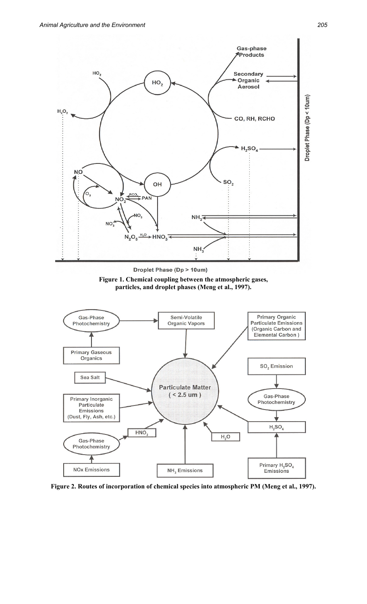

Droplet Phase (Dp > 10um)





**Figure 2. Routes of incorporation of chemical species into atmospheric PM (Meng et al., 1997).**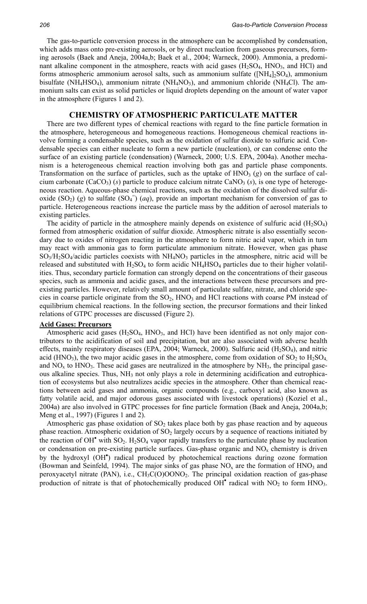The gas-to-particle conversion process in the atmosphere can be accomplished by condensation, which adds mass onto pre-existing aerosols, or by direct nucleation from gaseous precursors, forming aerosols (Baek and Aneja, 2004a,b; Baek et al., 2004; Warneck, 2000). Ammonia, a predominant alkaline component in the atmosphere, reacts with acid gases  $(H_2SO_4, HNO_3,$  and  $HCl$ ) and forms atmospheric ammonium aerosol salts, such as ammonium sulfate ( $[NH_4]_2SO_4$ ), ammonium bisulfate (NH<sub>4</sub>HSO<sub>4</sub>), ammonium nitrate (NH<sub>4</sub>NO<sub>3</sub>), and ammonium chloride (NH<sub>4</sub>Cl). The ammonium salts can exist as solid particles or liquid droplets depending on the amount of water vapor in the atmosphere (Figures 1 and 2).

#### **CHEMISTRY OF ATMOSPHERIC PARTICULATE MATTER**

There are two different types of chemical reactions with regard to the fine particle formation in the atmosphere, heterogeneous and homogeneous reactions. Homogeneous chemical reactions involve forming a condensable species, such as the oxidation of sulfur dioxide to sulfuric acid. Condensable species can either nucleate to form a new particle (nucleation), or can condense onto the surface of an existing particle (condensation) (Warneck, 2000; U.S. EPA, 2004a). Another mechanism is a heterogeneous chemical reaction involving both gas and particle phase components. Transformation on the surface of particles, such as the uptake of  $HNO<sub>3</sub>(g)$  on the surface of calcium carbonate  $(CaCO<sub>3</sub>)$  (*s*) particle to produce calcium nitrate  $CaNO<sub>3</sub>$  (*s*), is one type of heterogeneous reaction. Aqueous-phase chemical reactions, such as the oxidation of the dissolved sulfur dioxide  $(SO_2)$  (g) to sulfate  $(SO_4)$ <sup> $\bar{}$ </sup> (*aq*), provide an important mechanism for conversion of gas to particle. Heterogeneous reactions increase the particle mass by the addition of aerosol materials to existing particles.

The acidity of particle in the atmosphere mainly depends on existence of sulfuric acid  $(H_2SO_4)$ formed from atmospheric oxidation of sulfur dioxide. Atmospheric nitrate is also essentially secondary due to oxides of nitrogen reacting in the atmosphere to form nitric acid vapor, which in turn may react with ammonia gas to form particulate ammonium nitrate. However, when gas phase SO<sub>3</sub>/H<sub>2</sub>SO<sub>4</sub>/acidic particles coexists with NH<sub>4</sub>NO<sub>3</sub> particles in the atmosphere, nitric acid will be released and substituted with  $H_2SO_4$  to form acidic  $NH_4HSO_4$  particles due to their higher volatilities. Thus, secondary particle formation can strongly depend on the concentrations of their gaseous species, such as ammonia and acidic gases, and the interactions between these precursors and preexisting particles. However, relatively small amount of particulate sulfate, nitrate, and chloride species in coarse particle originate from the  $SO_2$ ,  $HNO_3$  and  $HCl$  reactions with coarse PM instead of equilibrium chemical reactions. In the following section, the precursor formations and their linked relations of GTPC processes are discussed (Figure 2).

#### **Acid Gases: Precursors**

Atmospheric acid gases  $(H_2SO_4, HNO_3, and HCl)$  have been identified as not only major contributors to the acidification of soil and precipitation, but are also associated with adverse health effects, mainly respiratory diseases (EPA, 2004; Warneck, 2000). Sulfuric acid (H<sub>2</sub>SO<sub>4</sub>), and nitric acid (HNO<sub>3</sub>), the two major acidic gases in the atmosphere, come from oxidation of  $SO_2$  to  $H_2SO_4$ , and  $NO<sub>x</sub>$  to  $HNO<sub>3</sub>$ . These acid gases are neutralized in the atmosphere by  $NH<sub>3</sub>$ , the principal gaseous alkaline species. Thus,  $NH<sub>3</sub>$  not only plays a role in determining acidification and eutrophication of ecosystems but also neutralizes acidic species in the atmosphere. Other than chemical reactions between acid gases and ammonia, organic compounds (e.g., carboxyl acid, also known as fatty volatile acid, and major odorous gases associated with livestock operations) (Koziel et al., 2004a) are also involved in GTPC processes for fine particle formation (Baek and Aneja, 2004a,b; Meng et al., 1997) (Figures 1 and 2).

Atmospheric gas phase oxidation of  $SO<sub>2</sub>$  takes place both by gas phase reaction and by aqueous phase reaction. Atmospheric oxidation of  $SO<sub>2</sub>$  largely occurs by a sequence of reactions initiated by the reaction of OH<sup> $\bullet$ </sup> with SO<sub>2</sub>. H<sub>2</sub>SO<sub>4</sub> vapor rapidly transfers to the particulate phase by nucleation or condensation on pre-existing particle surfaces. Gas-phase organic and  $NO<sub>x</sub>$  chemistry is driven by the hydroxyl (OH• ) radical produced by photochemical reactions during ozone formation (Bowman and Seinfeld, 1994). The major sinks of gas phase  $NO<sub>x</sub>$  are the formation of  $HNO<sub>3</sub>$  and peroxyacetyl nitrate (PAN), i.e., CH<sub>3</sub>C(O)OONO<sub>2</sub>. The principal oxidation reaction of gas-phase production of nitrate is that of photochemically produced  $OH<sup>•</sup>$  radical with  $NO<sub>2</sub>$  to form  $HNO<sub>3</sub>$ .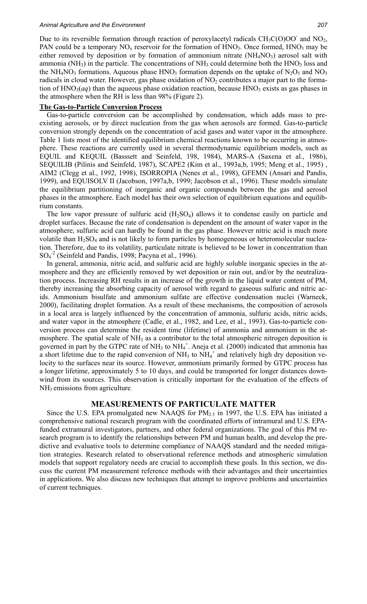Due to its reversible formation through reaction of peroxylacetyl radicals  $CH_3C(O)OO^-$  and  $NO_2$ , PAN could be a temporary  $NO<sub>x</sub>$  reservoir for the formation of  $HNO<sub>3</sub>$ . Once formed,  $HNO<sub>3</sub>$  may be either removed by deposition or by formation of ammonium nitrate  $(NH_4NO_3)$  aerosol salt with ammonia ( $NH<sub>3</sub>$ ) in the particle. The concentrations of  $NH<sub>3</sub>$  could determine both the  $HNO<sub>3</sub>$  loss and the NH<sub>4</sub>NO<sub>3</sub> formations. Aqueous phase HNO<sub>3</sub> formation depends on the uptake of N<sub>2</sub>O<sub>5</sub> and NO<sub>3</sub> radicals in cloud water. However, gas phase oxidation of  $NO<sub>2</sub>$  contributes a major part to the formation of  $HNO<sub>3</sub>(aq)$  than the aqueous phase oxidation reaction, because  $HNO<sub>3</sub>$  exists as gas phases in the atmosphere when the RH is less than 98% (Figure 2).

#### **The Gas-to-Particle Conversion Process**

Gas-to-particle conversion can be accomplished by condensation, which adds mass to preexisting aerosols, or by direct nucleation from the gas when aerosols are formed. Gas-to-particle conversion strongly depends on the concentration of acid gases and water vapor in the atmosphere. Table 1 lists most of the identified equilibrium chemical reactions known to be occurring in atmosphere. These reactions are currently used in several thermodynamic equilibrium models, such as EQUIL and KEQUIL (Basssett and Seinfeld, 198, 1984), MARS-A (Saxena et al., 1986), SEQUILIB (Pilinis and Seinfeld, 1987), SCAPE2 (Kim et al., 1993a,b, 1995; Meng et al., 1995) , AIM2 (Clegg et al., 1992, 1998), ISORROPIA (Nenes et al., 1998), GFEMN (Ansari and Pandis, 1999), and EQUISOLV II (Jacobson, 1997a,b, 1999; Jacobson et al., 1996). These models simulate the equilibrium partitioning of inorganic and organic compounds between the gas and aerosol phases in the atmosphere. Each model has their own selection of equilibrium equations and equilibrium constants.

The low vapor pressure of sulfuric acid  $(H_2SO_4)$  allows it to condense easily on particle and droplet surfaces. Because the rate of condensation is dependent on the amount of water vapor in the atmosphere, sulfuric acid can hardly be found in the gas phase. However nitric acid is much more volatile than  $H_2SO_4$  and is not likely to form particles by homogeneous or heteromolecular nucleation. Therefore, due to its volatility, particulate nitrate is believed to be lower in concentration than SO4 -2 (Seinfeld and Pandis, 1998; Pacyna et al., 1996).

In general, ammonia, nitric acid, and sulfuric acid are highly soluble inorganic species in the atmosphere and they are efficiently removed by wet deposition or rain out, and/or by the neutralization process. Increasing RH results in an increase of the growth in the liquid water content of PM, thereby increasing the absorbing capacity of aerosol with regard to gaseous sulfuric and nitric acids. Ammonium bisulfate and ammonium sulfate are effective condensation nuclei (Warneck, 2000), facilitating droplet formation. As a result of these mechanisms, the composition of aerosols in a local area is largely influenced by the concentration of ammonia, sulfuric acids, nitric acids, and water vapor in the atmosphere (Cadle, et al., 1982, and Lee, et al., 1993). Gas-to-particle conversion process can determine the resident time (lifetime) of ammonia and ammonium in the atmosphere. The spatial scale of  $NH<sub>3</sub>$  as a contributor to the total atmospheric nitrogen deposition is governed in part by the GTPC rate of NH<sub>3</sub> to NH<sub>4</sub><sup>+</sup>. Aneja et al. (2000) indicated that ammonia has a short lifetime due to the rapid conversion of  $NH<sub>3</sub>$  to  $NH<sub>4</sub><sup>+</sup>$  and relatively high dry deposition velocity to the surfaces near its source. However, ammonium primarily formed by GTPC process has a longer lifetime, approximately 5 to 10 days, and could be transported for longer distances downwind from its sources. This observation is critically important for the evaluation of the effects of NH<sub>3</sub> emissions from agriculture.

#### **MEASUREMENTS OF PARTICULATE MATTER**

Since the U.S. EPA promulgated new NAAQS for  $PM_{2.5}$  in 1997, the U.S. EPA has initiated a comprehensive national research program with the coordinated efforts of intramural and U.S. EPAfunded extramural investigators, partners, and other federal organizations. The goal of this PM research program is to identify the relationships between PM and human health, and develop the predictive and evaluative tools to determine compliance of NAAQS standard and the needed mitigation strategies. Research related to observational reference methods and atmospheric simulation models that support regulatory needs are crucial to accomplish these goals. In this section, we discuss the current PM measurement reference methods with their advantages and their uncertainties in applications. We also discuss new techniques that attempt to improve problems and uncertainties of current techniques.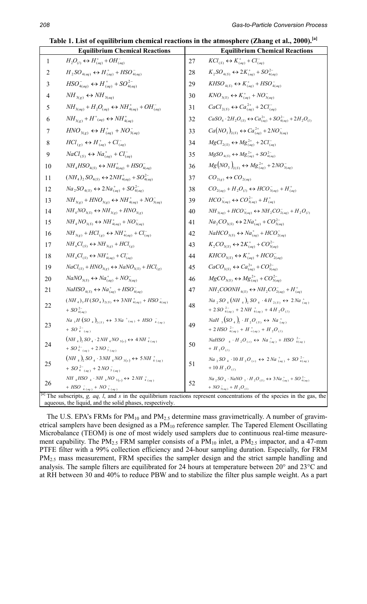| Table 1. List of equilibrium chemical reactions in the atmosphere (Zhang et al., 2000). <sup>[a]</sup> |  |  |  |  |
|--------------------------------------------------------------------------------------------------------|--|--|--|--|
|                                                                                                        |  |  |  |  |

| Table 1. List of equilibrium ch<br><b>Equilibrium Chemical Reactions</b> |                                                                                                                                                                    |    | cal reactions in the atmosphere (Zhang et al., 2000).<br><b>Equilibrium Chemical Reactions</b>                                                                     |
|--------------------------------------------------------------------------|--------------------------------------------------------------------------------------------------------------------------------------------------------------------|----|--------------------------------------------------------------------------------------------------------------------------------------------------------------------|
| $\mathbf{1}$                                                             | $H_2O_{(l)} \leftrightarrow H^+_{(aq)} + OH^-_{(aq)}$                                                                                                              | 27 | $KCl_{(S)} \leftrightarrow K_{(aq)}^+ + Cl_{(aq)}^-$                                                                                                               |
| 2                                                                        | $H_2SO_{4(aq)} \leftrightarrow H^+_{(aq)} + HSO^-_{4(aq)}$                                                                                                         | 28 | $K_2SO_{4(S)} \leftrightarrow 2K_{(aq)}^+ + SO_{4(aq)}^{2-}$                                                                                                       |
| 3                                                                        | $HSO_{4(aq)}^{-} \leftrightarrow H_{(aq)}^{+} + SO_{4(aq)}^{2-}$                                                                                                   | 29 | $KHSO_{4(S)} \leftrightarrow K^+_{(aq)} + HSO^-_{4(aq)}$                                                                                                           |
| 4                                                                        | $NH_{3(g)} \leftrightarrow NH_{3(aq)}$                                                                                                                             | 30 | $KNO_{3(S)} \leftrightarrow K^+_{(aq)} + NO^-_{3(aq)}$                                                                                                             |
| 5                                                                        | $NH_{3(aq)} + H_2O_{(aq)} \leftrightarrow NH_{4(aq)}^+ + OH_{(aq)}^-$                                                                                              | 31 | $CaCl_{2(S)} \leftrightarrow Ca_{(aq)}^{2+} + 2Cl_{(aq)}^{-}$                                                                                                      |
| 6                                                                        | $NH_{3(g)} + H^+_{(aq)} \leftrightarrow NH^+_{4(aq)}$                                                                                                              | 32 | $CaSO_4 \cdot 2H_2O_{(S)} \leftrightarrow Ca_{(aq)}^{2+} + SO_{4(aq)}^{2-} + 2H_2O_{(I)}$                                                                          |
| 7                                                                        | $HNO_{3(g)} \leftrightarrow H^+_{(aq)} + NO^-_{3(aq)}$                                                                                                             | 33 | $Ca(NO_3)_{2(S)} \leftrightarrow Ca_{(aq)}^{2+} + 2NO_{3(aq)}^-$                                                                                                   |
| 8                                                                        | $HCl_{(g)} \leftrightarrow H^+_{(aq)} + Cl^-_{(aq)}$                                                                                                               | 34 | $MgCl_{2(S)} \leftrightarrow Mg_{(aq)}^{2+} + 2Cl_{(aq)}^{-}$                                                                                                      |
| 9                                                                        | $NaCl_{(S)} \leftrightarrow Na_{(aq)}^+ + Cl_{(aq)}^-$                                                                                                             | 35 | $MgSO_{4(S)} \leftrightarrow Mg_{(aq)}^{2+} + SO_{4(aq)}^{2-}$                                                                                                     |
| 10                                                                       | $NH4HSO4(S) \leftrightarrow NH4(aq)+ + HSO4(aq)$                                                                                                                   | 36 | $Mg(NO_3)_{2(S)} \leftrightarrow Mg^{2+}_{(aq)} + 2NO^{-}_{3(aq)}$                                                                                                 |
|                                                                          |                                                                                                                                                                    |    |                                                                                                                                                                    |
| 11                                                                       | $(NH_4)_2 SO_{4(S)} \leftrightarrow 2NH_{4(aq)}^+ + SO_{4(aq)}^{2-}$                                                                                               | 37 | $CO_{2(g)} \leftrightarrow CO_{2(aq)}$                                                                                                                             |
| 12                                                                       | $Na_2SO_{4(S)} \leftrightarrow 2Na^+_{(aq)} + SO_{4(aq)}^{2-}$                                                                                                     | 38 | $CO_{2(aq)} + H_2O_{(l)} \leftrightarrow HCO^{-}_{3(aq)} + H^{+}_{(aq)}$                                                                                           |
| 13                                                                       | $NH_{3(g)} + HNO_{3(g)} \leftrightarrow NH_{4(aq)}^+ + NO_{3(aq)}^-$                                                                                               | 39 | $HCO^{-}_{3(aq)} \leftrightarrow CO^{2-}_{3(aq)} + H^{+}_{(aq)}$                                                                                                   |
| 14                                                                       | $NH_{4}NO_{3(S)} \leftrightarrow NH_{3(g)} + HNO_{3(g)}$                                                                                                           | 40 | $\label{eqn:binomial} \textit{NH}_{3(aq)} + \textit{HCO}_{3(aq)}^- \leftrightarrow \textit{NH}_2\textit{CO}_{2(aq)}^- + \textit{H}_2\textit{O}_{(l)}^-$            |
| 15                                                                       | $NH_{4}NO_{3(S)} \leftrightarrow NH_{4(aq)}^{+} + NO_{3(aq)}^{-}$                                                                                                  | 41 | $Na_2CO_{3(S)} \leftrightarrow 2Na^+_{(aq)} + CO_{3(aq)}^{2-}$                                                                                                     |
| 16                                                                       | $\label{eqn:1} \begin{aligned} \textit{NH}_{3(g)} + \textit{HCl}_{(g)} \leftrightarrow \textit{NH}_{4(aq)}^+ + \textit{Cl}_{(aq)}^- \end{aligned}$                 | 42 | $NaHCO_{3(S)} \leftrightarrow Na^+_{(aq)} + HCO_{2(aq)}^-$                                                                                                         |
| 17                                                                       | $\mathit{NH}_4\mathit{Cl}_{(S)}\leftrightarrow \mathit{NH}_{3(g)} + \mathit{HCl}_{(g)}$                                                                            | 43 | $K_2CO_{3(S)} \leftrightarrow 2K_{(aq)}^+ + CO_{3(aq)}^{2-}$                                                                                                       |
| 18                                                                       | $NH_4Cl_{(S)}\leftrightarrow NH^+_{4(aq)}+Cl^-_{(aq)}$                                                                                                             | 44 | $KHCO_{3(S)} \leftrightarrow K^+_{(aq)} + HCO_{2(aq)}^-$                                                                                                           |
| 19                                                                       | $NaCl_{(S)} + HNO_{3(g)} \leftrightarrow NaNO_{3(S)} + HCl_{(g)}$                                                                                                  | 45 | $CaCO_{3(S)} \leftrightarrow Ca_{(aq)}^{2+} + CO_{3(aq)}^{2-}$                                                                                                     |
| 20                                                                       | $NaNO_{3(S)} \leftrightarrow Na_{(aq)}^+ + NO_{3(aq)}^-$                                                                                                           | 46 | $MgCO_{3(S)} \leftrightarrow Mg_{(aq)}^{2+} + CO_{3(aq)}^{2-}$                                                                                                     |
| 21                                                                       | $NaHSO_{4(S)} \leftrightarrow Na_{(aq)}^{+} + HSO_{4(aq)}^{-}$                                                                                                     | 47 | $NH_2COONH_{4(S)} \leftrightarrow NH_2CO_{2(aq)}^- + H_{(aq)}^+$                                                                                                   |
| 22                                                                       | $(NH_4)_3H(SO_4)_{2(S)} \leftrightarrow 3NH_{4(aq)}^+ + HSO_{4(aq)}^-$<br>+ $SO_{4(aq)}^{2-}$                                                                      | 48 | $Na_2SO_4(NH_4)_2SO_4\cdot 4H_{2(S)} \leftrightarrow 2Na_{(aq)}^+$<br>+ 2 SO $^{2-}_{4(aq)}$ + 2 NH $^{+}_{4(aq)}$ + 4 H <sub>2</sub> O <sub>(1)</sub>             |
| 23                                                                       | $Na_3H(SO_4)_{2(S)} \leftrightarrow 3Na^+(aq) + HSO_{4(aq)}^-$<br>+ $SO_{4}^{2-}_{(aq)}$                                                                           | 49 | NaH $_3(SO_4)$ <sub>2</sub> · H <sub>2</sub> O <sub>(S)</sub> $\leftrightarrow$ Na <sub>(aq)</sub><br>+ 2 HSO $^{2-}_{4(aq)}$ + H $^{+}_{+(aq)}$ + H $^{2}O_{(l)}$ |
| 24                                                                       | $(NH_A), SO_4 \cdot 2NH_ANO_{3(s)} \leftrightarrow 4NH_{4(aq)}^+$<br>+ SO $^{2-}_{4-(aa)}$ + 2 NO $^{-}_{3-(aa)}$                                                  | 50 | NaHSO $_4 \cdot H_2O_{(s)} \leftrightarrow Na_{(aa)}^+ + HSO_{4(aa)}^{2-}$<br>$+$ H <sub>2</sub> O <sub>(t)</sub>                                                  |
| 25                                                                       | $(NH_4)$ <sub>2</sub> SO <sub>4</sub> · 3 NH <sub>4</sub> NO <sub>3(s)</sub> $\leftrightarrow$ 5 NH <sub>4(aq)</sub><br>+ $SO_{4-(aa)}^{2-}$ + 2 $NO_{3-(aa)}^{-}$ | 51 | $Na_2SO_4$ · 10 H <sub>2</sub> O <sub>(s)</sub> $\leftrightarrow$ 2 Na $_{(aq)}^+$ + SO <sub>4(aq)</sub><br>$+10H, O(1)$                                           |
| 26                                                                       | $NH_4HSO_4\cdot NH_4NO_{3(s)} \leftrightarrow 2NH_{4(aq)}^+$<br>+ HSO $_{4 (aq)}^{-}$ + NO $_{3 (aq)}^{-}$                                                         | 52 | $Na_{2}SO_{4} \cdot NaNO_{3} \cdot H_{2}O_{(S)} \leftrightarrow 3Na_{(aq)}^{+} + SO_{4(aq)}^{2-}$<br>+ $NO_{3(aq)}^-$ + $H_2O_{(1)}^-$                             |
|                                                                          | aqueous, the liquid, and the solid phases, respectively.                                                                                                           |    | $\left[$ <sup>a]</sup> The subscripts, <i>g, aq, l,</i> and <i>s</i> in the equilibrium reactions represent concentrations of the species in the gas, the          |

The U.S. EPA's FRMs for  $PM_{10}$  and  $PM_{2.5}$  determine mass gravimetrically. A number of gravimetrical samplers have been designed as a PM<sub>10</sub> reference sampler. The Tapered Element Oscillating Microbalance (TEOM) is one of most widely used samplers due to continuous real-time measurement capability. The PM<sub>2.5</sub> FRM sampler consists of a PM<sub>10</sub> inlet, a PM<sub>2.5</sub> impactor, and a 47-mm PTFE filter with a 99% collection efficiency and 24-hour sampling duration. Especially, for FRM PM<sub>2.5</sub> mass measurement, FRM specifies the sampler design and the strict sample handling and analysis. The sample filters are equilibrated for 24 hours at temperature between 20° and 23°C and at RH between 30 and 40% to reduce PBW and to stabilize the filter plus sample weight. As a part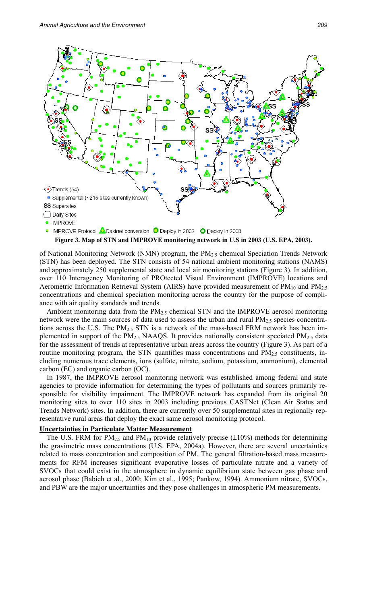

#### **Figure 3. Map of STN and IMPROVE monitoring network in U.S in 2003 (U.S. EPA, 2003).**

of National Monitoring Network (NMN) program, the PM<sub>2.5</sub> chemical Speciation Trends Network (STN) has been deployed. The STN consists of 54 national ambient monitoring stations (NAMS) and approximately 250 supplemental state and local air monitoring stations (Figure 3). In addition, over 110 Interagency Monitoring of PROtected Visual Environment (IMPROVE) locations and Aerometric Information Retrieval System (AIRS) have provided measurement of  $PM_{10}$  and  $PM_{2.5}$ concentrations and chemical speciation monitoring across the country for the purpose of compliance with air quality standards and trends.

Ambient monitoring data from the  $PM<sub>2.5</sub>$  chemical STN and the IMPROVE aerosol monitoring network were the main sources of data used to assess the urban and rural  $PM<sub>2.5</sub>$  species concentrations across the U.S. The  $PM<sub>2.5</sub>$  STN is a network of the mass-based FRM network has been implemented in support of the  $PM_{2.5}$  NAAQS. It provides nationally consistent speciated  $PM_{2.5}$  data for the assessment of trends at representative urban areas across the country (Figure 3). As part of a routine monitoring program, the STN quantifies mass concentrations and  $PM_{2.5}$  constituents, including numerous trace elements, ions (sulfate, nitrate, sodium, potassium, ammonium), elemental carbon (EC) and organic carbon (OC).

In 1987, the IMPROVE aerosol monitoring network was established among federal and state agencies to provide information for determining the types of pollutants and sources primarily responsible for visibility impairment. The IMPROVE network has expanded from its original 20 monitoring sites to over 110 sites in 2003 including previous CASTNet (Clean Air Status and Trends Network) sites. In addition, there are currently over 50 supplemental sites in regionally representative rural areas that deploy the exact same aerosol monitoring protocol.

#### **Uncertainties in Particulate Matter Measurement**

The U.S. FRM for  $PM_{2.5}$  and  $PM_{10}$  provide relatively precise ( $\pm 10\%$ ) methods for determining the gravimetric mass concentrations (U.S. EPA, 2004a). However, there are several uncertainties related to mass concentration and composition of PM. The general filtration-based mass measurements for RFM increases significant evaporative losses of particulate nitrate and a variety of SVOCs that could exist in the atmosphere in dynamic equilibrium state between gas phase and aerosol phase (Babich et al., 2000; Kim et al., 1995; Pankow, 1994). Ammonium nitrate, SVOCs, and PBW are the major uncertainties and they pose challenges in atmospheric PM measurements.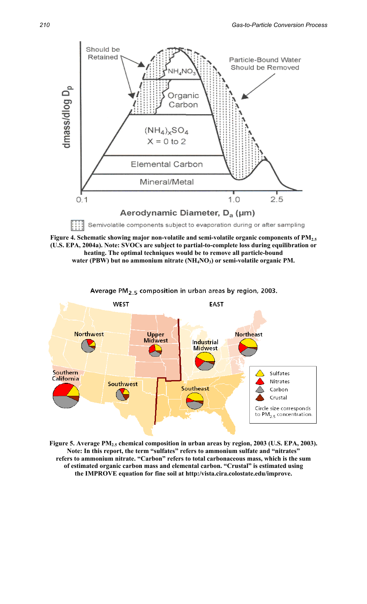

**Figure 4. Schematic showing major non-volatile and semi-volatile organic components of PM2.5 (U.S. EPA, 2004a). Note: SVOCs are subject to partial-to-complete loss during equilibration or heating. The optimal techniques would be to remove all particle-bound**  water (PBW) but no ammonium nitrate (NH<sub>4</sub>NO<sub>3</sub>) or semi-volatile organic PM.



Figure 5. Average PM<sub>2.5</sub> chemical composition in urban areas by region, 2003 (U.S. EPA, 2003). **Note: In this report, the term "sulfates" refers to ammonium sulfate and "nitrates" refers to ammonium nitrate. "Carbon" refers to total carbonaceous mass, which is the sum of estimated organic carbon mass and elemental carbon. "Crustal" is estimated using the IMPROVE equation for fine soil at http:/vista.cira.colostate.edu/improve.**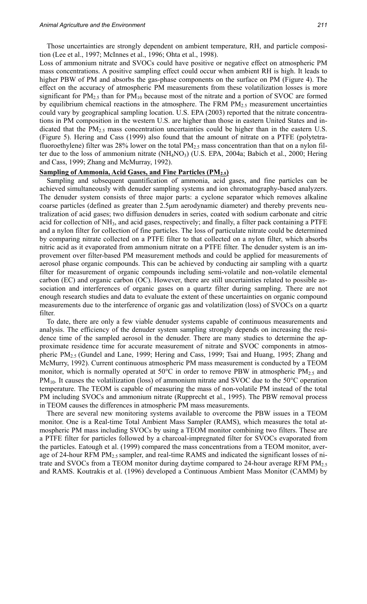Those uncertainties are strongly dependent on ambient temperature, RH, and particle composition (Lee et al., 1997; McInnes et al., 1996; Ohta et al., 1998).

Loss of ammonium nitrate and SVOCs could have positive or negative effect on atmospheric PM mass concentrations. A positive sampling effect could occur when ambient RH is high. It leads to higher PBW of PM and absorbs the gas-phase components on the surface on PM (Figure 4). The effect on the accuracy of atmospheric PM measurements from these volatilization losses is more significant for  $PM_{2.5}$  than for  $PM_{10}$  because most of the nitrate and a portion of SVOC are formed by equilibrium chemical reactions in the atmosphere. The FRM  $PM<sub>2.5</sub>$  measurement uncertainties could vary by geographical sampling location. U.S. EPA (2003) reported that the nitrate concentrations in PM composition in the western U.S. are higher than those in eastern United States and indicated that the  $PM_{2.5}$  mass concentration uncertainties could be higher than in the eastern U.S. (Figure 5). Hering and Cass (1999) also found that the amount of nitrate on a PTFE (polytetrafluoroethylene) filter was 28% lower on the total  $PM<sub>2.5</sub>$  mass concentration than that on a nylon filter due to the loss of ammonium nitrate (NH<sub>4</sub>NO<sub>3</sub>) (U.S. EPA, 2004a; Babich et al., 2000; Hering and Cass, 1999; Zhang and McMurray, 1992).

#### **Sampling of Ammonia, Acid Gases, and Fine Particles (PM<sub>2.5</sub>)**

Sampling and subsequent quantification of ammonia, acid gases, and fine particles can be achieved simultaneously with denuder sampling systems and ion chromatography-based analyzers. The denuder system consists of three major parts: a cyclone separator which removes alkaline coarse particles (defined as greater than 2.5µm aerodynamic diameter) and thereby prevents neutralization of acid gases; two diffusion denuders in series, coated with sodium carbonate and citric acid for collection of NH<sub>3</sub>, and acid gases, respectively; and finally, a filter pack containing a PTFE and a nylon filter for collection of fine particles. The loss of particulate nitrate could be determined by comparing nitrate collected on a PTFE filter to that collected on a nylon filter, which absorbs nitric acid as it evaporated from ammonium nitrate on a PTFE filter. The denuder system is an improvement over filter-based PM measurement methods and could be applied for measurements of aerosol phase organic compounds. This can be achieved by conducting air sampling with a quartz filter for measurement of organic compounds including semi-volatile and non-volatile elemental carbon (EC) and organic carbon (OC). However, there are still uncertainties related to possible association and interferences of organic gases on a quartz filter during sampling. There are not enough research studies and data to evaluate the extent of these uncertainties on organic compound measurements due to the interference of organic gas and volatilization (loss) of SVOCs on a quartz filter.

To date, there are only a few viable denuder systems capable of continuous measurements and analysis. The efficiency of the denuder system sampling strongly depends on increasing the residence time of the sampled aerosol in the denuder. There are many studies to determine the approximate residence time for accurate measurement of nitrate and SVOC components in atmospheric PM2.5 (Gundel and Lane, 1999; Hering and Cass, 1999; Tsai and Huang, 1995; Zhang and McMurry, 1992). Current continuous atmospheric PM mass measurement is conducted by a TEOM monitor, which is normally operated at 50 $\degree$ C in order to remove PBW in atmospheric PM<sub>2.5</sub> and  $PM_{10}$ . It causes the volatilization (loss) of ammonium nitrate and SVOC due to the 50 $\degree$ C operation temperature. The TEOM is capable of measuring the mass of non-volatile PM instead of the total PM including SVOCs and ammonium nitrate (Rupprecht et al., 1995). The PBW removal process in TEOM causes the differences in atmospheric PM mass measurements.

There are several new monitoring systems available to overcome the PBW issues in a TEOM monitor. One is a Real-time Total Ambient Mass Sampler (RAMS), which measures the total atmospheric PM mass including SVOCs by using a TEOM monitor combining two filters. These are a PTFE filter for particles followed by a charcoal-impregnated filter for SVOCs evaporated from the particles. Eatough et al. (1999) compared the mass concentrations from a TEOM monitor, average of 24-hour RFM PM2.5 sampler, and real-time RAMS and indicated the significant losses of nitrate and SVOCs from a TEOM monitor during daytime compared to 24-hour average RFM  $PM_{2.5}$ and RAMS. Koutrakis et al. (1996) developed a Continuous Ambient Mass Monitor (CAMM) by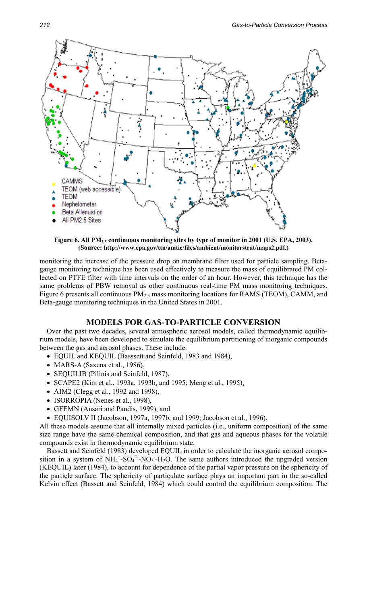

Figure 6. All PM<sub>2.5</sub> continuous monitoring sites by type of monitor in 2001 (U.S. EPA, 2003). **(Source: http://www.epa.gov/ttn/amtic/files/ambient/monitorstrat/maps2.pdf.)**

monitoring the increase of the pressure drop on membrane filter used for particle sampling. Betagauge monitoring technique has been used effectively to measure the mass of equilibrated PM collected on PTFE filter with time intervals on the order of an hour. However, this technique has the same problems of PBW removal as other continuous real-time PM mass monitoring techniques. Figure 6 presents all continuous  $PM<sub>2.5</sub>$  mass monitoring locations for RAMS (TEOM), CAMM, and Beta-gauge monitoring techniques in the United States in 2001.

#### **MODELS FOR GAS-TO-PARTICLE CONVERSION**

Over the past two decades, several atmospheric aerosol models, called thermodynamic equilibrium models, have been developed to simulate the equilibrium partitioning of inorganic compounds between the gas and aerosol phases. These include:

- EQUIL and KEQUIL (Basssett and Seinfeld, 1983 and 1984),
- MARS-A (Saxena et al., 1986),
- SEQUILIB (Pilinis and Seinfeld, 1987),
- SCAPE2 (Kim et al., 1993a, 1993b, and 1995; Meng et al., 1995),
- AIM2 (Clegg et al., 1992 and 1998),
- ISORROPIA (Nenes et al., 1998),
- GFEMN (Ansari and Pandis, 1999), and
- EQUISOLV II (Jacobson, 1997a, 1997b, and 1999; Jacobson et al., 1996).

All these models assume that all internally mixed particles (i.e., uniform composition) of the same size range have the same chemical composition, and that gas and aqueous phases for the volatile compounds exist in thermodynamic equilibrium state.

Bassett and Seinfeld (1983) developed EQUIL in order to calculate the inorganic aerosol composition in a system of  $NH_4^+$ - $SO_4^2$ -NO<sub>3</sub>-H<sub>2</sub>O. The same authors introduced the upgraded version (KEQUIL) later (1984), to account for dependence of the partial vapor pressure on the sphericity of the particle surface. The sphericity of particulate surface plays an important part in the so-called Kelvin effect (Bassett and Seinfeld, 1984) which could control the equilibrium composition. The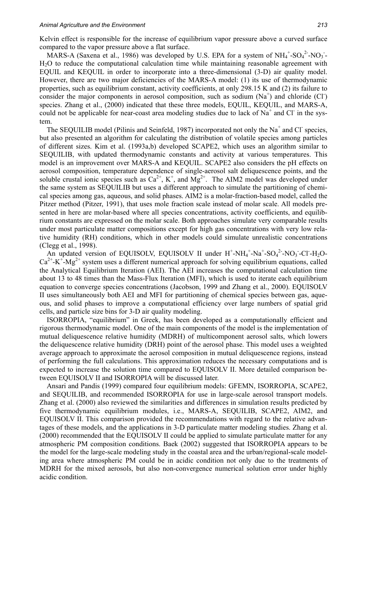#### *Animal Agriculture and the Environment 213*

Kelvin effect is responsible for the increase of equilibrium vapor pressure above a curved surface compared to the vapor pressure above a flat surface.

MARS-A (Saxena et al., 1986) was developed by U.S. EPA for a system of  $NH_4^+$ -SO $_4^2$ -NO<sub>3</sub>-H2O to reduce the computational calculation time while maintaining reasonable agreement with EQUIL and KEQUIL in order to incorporate into a three-dimensional (3-D) air quality model. However, there are two major deficiencies of the MARS-A model: (1) its use of thermodynamic properties, such as equilibrium constant, activity coefficients, at only 298.15 K and (2) its failure to consider the major components in aerosol composition, such as sodium  $(Na^+)$  and chloride  $(CI)$ species. Zhang et al., (2000) indicated that these three models, EQUIL, KEQUIL, and MARS-A, could not be applicable for near-coast area modeling studies due to lack of  $Na<sup>+</sup>$  and Cl in the system.

The SEQUILIB model (Pilinis and Seinfeld, 1987) incorporated not only the  $Na<sup>+</sup>$  and Cl species, but also presented an algorithm for calculating the distribution of volatile species among particles of different sizes. Kim et al. (1993a,b) developed SCAPE2, which uses an algorithm similar to SEQUILIB, with updated thermodynamic constants and activity at various temperatures. This model is an improvement over MARS-A and KEQUIL. SCAPE2 also considers the pH effects on aerosol composition, temperature dependence of single-aerosol salt deliquescence points, and the soluble crustal ionic species such as  $Ca^{2+}$ , K<sup>+</sup>, and  $Mg^{2+}$ . The AIM2 model was developed under the same system as SEQUILIB but uses a different approach to simulate the partitioning of chemical species among gas, aqueous, and solid phases. AIM2 is a molar-fraction-based model, called the Pitzer method (Pitzer, 1991), that uses mole fraction scale instead of molar scale. All models presented in here are molar-based where all species concentrations, activity coefficients, and equilibrium constants are expressed on the molar scale. Both approaches simulate very comparable results under most particulate matter compositions except for high gas concentrations with very low relative humidity (RH) conditions, which in other models could simulate unrealistic concentrations (Clegg et al., 1998).

An updated version of EQUISOLV, EQUISOLV II under  $H^+$ -NH<sub>4</sub><sup>+</sup>-Na<sup>+</sup>-SO<sub>4</sub><sup>2</sup>-NO<sub>3</sub>-Cl-H<sub>2</sub>O- $Ca^{2+} - K^+$ - $Mg^{2+}$  system uses a different numerical approach for solving equilibrium equations, called the Analytical Equilibrium Iteration (AEI). The AEI increases the computational calculation time about 13 to 48 times than the Mass-Flux Iteration (MFI), which is used to iterate each equilibrium equation to converge species concentrations (Jacobson, 1999 and Zhang et al., 2000). EQUISOLV II uses simultaneously both AEI and MFI for partitioning of chemical species between gas, aqueous, and solid phases to improve a computational efficiency over large numbers of spatial grid cells, and particle size bins for 3-D air quality modeling.

ISORROPIA, "equilibrium" in Greek, has been developed as a computationally efficient and rigorous thermodynamic model. One of the main components of the model is the implementation of mutual deliquescence relative humidity (MDRH) of multicomponent aerosol salts, which lowers the deliquescence relative humidity (DRH) point of the aerosol phase. This model uses a weighted average approach to approximate the aerosol composition in mutual deliquescence regions, instead of performing the full calculations. This approximation reduces the necessary computations and is expected to increase the solution time compared to EQUISOLV II. More detailed comparison between EQUISOLV II and ISORROPIA will be discussed later.

Ansari and Pandis (1999) compared four equilibrium models: GFEMN, ISORROPIA, SCAPE2, and SEQUILIB, and recommended ISORROPIA for use in large-scale aerosol transport models. Zhang et al. (2000) also reviewed the similarities and differences in simulation results predicted by five thermodynamic equilibrium modules, i.e., MARS-A, SEQUILIB, SCAPE2, AIM2, and EQUISOLV II. This comparison provided the recommendations with regard to the relative advantages of these models, and the applications in 3-D particulate matter modeling studies. Zhang et al. (2000) recommended that the EQUISOLV II could be applied to simulate particulate matter for any atmospheric PM composition conditions. Baek (2002) suggested that ISORROPIA appears to be the model for the large-scale modeling study in the coastal area and the urban/regional-scale modeling area where atmospheric PM could be in acidic condition not only due to the treatments of MDRH for the mixed aerosols, but also non-convergence numerical solution error under highly acidic condition.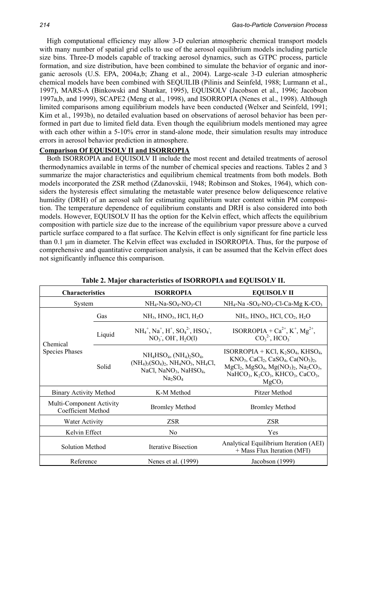High computational efficiency may allow 3-D eulerian atmospheric chemical transport models with many number of spatial grid cells to use of the aerosol equilibrium models including particle size bins. Three-D models capable of tracking aerosol dynamics, such as GTPC process, particle formation, and size distribution, have been combined to simulate the behavior of organic and inorganic aerosols (U.S. EPA, 2004a,b; Zhang et al., 2004). Large-scale 3-D eulerian atmospheric chemical models have been combined with SEQUILIB (Pilinis and Seinfeld, 1988; Lurmann et al., 1997), MARS-A (Binkowski and Shankar, 1995), EQUISOLV (Jacobson et al., 1996; Jacobson 1997a,b, and 1999), SCAPE2 (Meng et al., 1998), and ISORROPIA (Nenes et al., 1998). Although limited comparisons among equilibrium models have been conducted (Welxer and Seinfeld, 1991; Kim et al., 1993b), no detailed evaluation based on observations of aerosol behavior has been performed in part due to limited field data. Even though the equilibrium models mentioned may agree with each other within a 5-10% error in stand-alone mode, their simulation results may introduce errors in aerosol behavior prediction in atmosphere.

#### **Comparison Of EQUISOLV II and ISORROPIA**

Both ISORROPIA and EQUISOLV II include the most recent and detailed treatments of aerosol thermodynamics available in terms of the number of chemical species and reactions. Tables 2 and 3 summarize the major characteristics and equilibrium chemical treatments from both models. Both models incorporated the ZSR method (Zdanovskii, 1948; Robinson and Stokes, 1964), which considers the hysteresis effect simulating the metastable water presence below deliquescence relative humidity (DRH) of an aerosol salt for estimating equilibrium water content within PM composition. The temperature dependence of equilibrium constants and DRH is also considered into both models. However, EQUISOLV II has the option for the Kelvin effect, which affects the equilibrium composition with particle size due to the increase of the equilibrium vapor pressure above a curved particle surface compared to a flat surface. The Kelvin effect is only significant for fine particle less than 0.1 µm in diameter. The Kelvin effect was excluded in ISORROPIA. Thus, for the purpose of comprehensive and quantitative comparison analysis, it can be assumed that the Kelvin effect does not significantly influence this comparison.

| <b>Characteristics</b>                                |        | <b>ISORROPIA</b>                                                                                                                                                    | <b>EQUISOLV II</b>                                                                                                                                                                                                                                                                        |  |  |  |
|-------------------------------------------------------|--------|---------------------------------------------------------------------------------------------------------------------------------------------------------------------|-------------------------------------------------------------------------------------------------------------------------------------------------------------------------------------------------------------------------------------------------------------------------------------------|--|--|--|
| System                                                |        | $NH_4$ -Na-SO <sub>4</sub> -NO <sub>3</sub> -Cl                                                                                                                     | $NH_4$ -Na -SO <sub>4</sub> -NO <sub>3</sub> -Cl-Ca-Mg K-CO <sub>3</sub>                                                                                                                                                                                                                  |  |  |  |
| Chemical                                              | Gas    | $NH3$ , HNO <sub>3</sub> , HCl, H <sub>2</sub> O                                                                                                                    | $NH_3$ , HNO <sub>3</sub> , HCl, CO <sub>2</sub> , H <sub>2</sub> O                                                                                                                                                                                                                       |  |  |  |
|                                                       | Liquid | $NH_4^+$ , Na <sup>+</sup> , H <sup>+</sup> , SO <sub>4</sub> <sup>2</sup> , HSO <sub>4</sub> <sup>-</sup> ,<br>$NO_3$ , $OH$ , $H_2O(1)$                           | ISORROPIA + $Ca^{2+}$ , K <sup>+</sup> , Mg <sup>2+</sup> ,<br>$CO32$ , HCO <sub>3</sub>                                                                                                                                                                                                  |  |  |  |
| <b>Species Phases</b>                                 | Solid  | $NH_4HSO_4$ , $(NH_4)_2SO_4$ ,<br>$(NH_4)_3(SO_4)_2$ , $NH_4NO_3$ , $NH_4Cl$ ,<br>NaCl, NaNO <sub>3</sub> , NaHSO <sub>4</sub> ,<br>Na <sub>2</sub> SO <sub>4</sub> | ISORROPIA + KCl, $K_2SO_4$ , KHSO <sub>4</sub> ,<br>$KNO_3$ , CaCl <sub>2</sub> , CaSO <sub>4</sub> , Ca(NO <sub>3</sub> ) <sub>2</sub> ,<br>$MgCl2$ , $MgSO4$ , $Mg(NO3)2$ , $Na2CO3$ ,<br>NaHCO <sub>3</sub> , $K_2CO_3$ , KHCO <sub>3</sub> , CaCO <sub>3</sub> ,<br>MgCO <sub>3</sub> |  |  |  |
| <b>Binary Activity Method</b>                         |        | K-M Method                                                                                                                                                          | Pitzer Method                                                                                                                                                                                                                                                                             |  |  |  |
| Multi-Component Activity<br><b>Coefficient Method</b> |        | <b>Bromley Method</b>                                                                                                                                               | <b>Bromley Method</b>                                                                                                                                                                                                                                                                     |  |  |  |
| <b>Water Activity</b>                                 |        | <b>ZSR</b>                                                                                                                                                          | <b>ZSR</b>                                                                                                                                                                                                                                                                                |  |  |  |
| Kelvin Effect                                         |        | N <sub>0</sub>                                                                                                                                                      | Yes                                                                                                                                                                                                                                                                                       |  |  |  |
| <b>Solution Method</b>                                |        | <b>Iterative Bisection</b>                                                                                                                                          | Analytical Equilibrium Iteration (AEI)<br>+ Mass Flux Iteration (MFI)                                                                                                                                                                                                                     |  |  |  |
| Reference                                             |        | Nenes et al. (1999)                                                                                                                                                 | Jacobson (1999)                                                                                                                                                                                                                                                                           |  |  |  |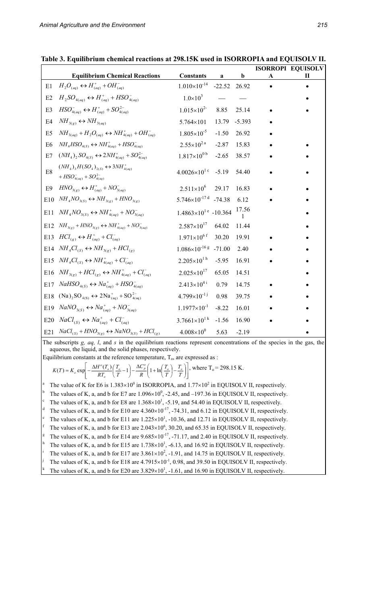|                |                                                                                                   |                                           |          |             |   | <b>ISORROPI EQUISOLV</b> |
|----------------|---------------------------------------------------------------------------------------------------|-------------------------------------------|----------|-------------|---|--------------------------|
|                | <b>Equilibrium Chemical Reactions</b>                                                             | <b>Constants</b>                          | a        | $\mathbf b$ | A |                          |
| E1             | $H_2O_{(aq)} \leftrightarrow H^+_{(aq)} + OH^-_{(aq)}$                                            | $1.010\times10^{-14}$                     | $-22.52$ | 26.92       |   |                          |
| E2             | $H_2SO_{4(aq)} \leftrightarrow H^+_{(aq)} + HSO_{4(aq)}^-$                                        | $1.0\times10^{3}$                         |          |             |   |                          |
| E <sub>3</sub> | $HSO_{4(aq)}^{-} \leftrightarrow H_{(aq)}^{+} + SO_{4(aq)}^{2-}$                                  | $1.015\times10^{2}$                       | 8.85     | 25.14       |   |                          |
| E4             | $NH_{3(g)} \leftrightarrow NH_{3(aq)}$                                                            | 5.764×101                                 | 13.79    | $-5.393$    |   |                          |
| E <sub>5</sub> | $NH_{3(aq)} + H_2O_{(aq)} \leftrightarrow NH_{4(aq)}^+ + OH_{(aq)}^-$                             | $1.805 \times 10^{-5}$                    | $-1.50$  | 26.92       |   |                          |
| E <sub>6</sub> | $NH4HSO4(S) \leftrightarrow NH4(aq)+ + HSO4(aq)$                                                  | $2.55 \times 10^{2}$ <sup>a</sup>         | $-2.87$  | 15.83       |   |                          |
| E7             | $(NH_4)_2SO_{4(S)} \leftrightarrow 2NH_{4(aq)}^+ + SO_{4(aq)}^{2-}$                               | $1.817\times10^{0\ b}$                    | $-2.65$  | 38.57       |   |                          |
| E8             | $(NH_4)_3H(SO_4)_{2(S)} \leftrightarrow 3NH_{4(aq)}^+$<br>+ $HSO_{4(aq)}^{-}$ + $SO_{4(aq)}^{2-}$ | $4.0026\times10^{1}$ c                    | $-5.19$  | 54.40       |   |                          |
| E <sub>9</sub> | $HNO3(g) \leftrightarrow H+(aq) + NO3(aq)$                                                        | $2.511\times10^{6}$                       | 29.17    | 16.83       |   |                          |
| E10            | $NH_{4}NO_{3(S)} \leftrightarrow NH_{3(g)} + HNO_{3(g)}$                                          | $5.746 \times 10^{-17}$ d -74.38          |          | 6.12        |   |                          |
| E11            | $NH4NO3(S) \leftrightarrow NH4(aq)+ + NO3(aq)-$                                                   | $1.4863\times10^{1}$ <sup>e</sup> -10.364 |          | 17.56       |   |                          |
| E12            | $NH_{3(g)} + HNO_{3(g)} \leftrightarrow NH_{4(aq)}^+ + NO_{3(aq)}^-$                              | $2.587\times10^{17}$                      | 64.02    | 11.44       |   |                          |
| E13            | $HCl_{(g)} \leftrightarrow H_{(aq)}^+ + Cl_{(aq)}^-$                                              | $1.971\times10^{6}$ f                     | 30.20    | 19.91       |   |                          |
| E14            | $NH_{4}Cl_{(S)} \leftrightarrow NH_{3(g)} + HCl_{(g)}$                                            | $1.086\times10^{-16}$ s -71.00            |          | 2.40        |   |                          |
| E15            | $NH_{4}Cl_{(S)} \leftrightarrow NH_{4(aq)}^+ + Cl_{(aq)}^-$                                       | $2.205\times10^{1 h}$                     | $-5.95$  | 16.91       |   |                          |
| E16            | $NH_{3(g)} + HCl_{(g)} \leftrightarrow NH_{4(aq)}^+ + Cl_{(aq)}^-$                                | $2.025 \times 10^{17}$                    | 65.05    | 14.51       |   |                          |
| E17            | $NaHSO_{4(S)} \leftrightarrow Na_{(aq)}^{+} + HSO_{4(aq)}^{-}$                                    | $2.413\times10^{4}$                       | 0.79     | 14.75       |   |                          |
| $E18$          | $(Na)_{2}SO_{4(S)} \leftrightarrow 2Na^{+}_{(aq)} + SO^{2-}_{4(aq)}$                              | $4.799 \times 10^{-11}$                   | 0.98     | 39.75       |   |                          |
| E19            | $NaNO3(S) \leftrightarrow Na+(aq) + NO-3(aq)$                                                     | $1.1977 \times 10^{-1}$                   | $-8.22$  | 16.01       |   |                          |
| E20            | $NaCl_{(S)} \leftrightarrow Na_{(aq)}^+ + Cl_{(aq)}^-$                                            | $3.7661\times10^{1 k}$                    | $-1.56$  | 16.90       |   |                          |
| E21            | $NaCl_{(S)} + HNO_{3(g)} \leftrightarrow NaNO_{3(S)} + HCl_{(g)}$                                 | $4.008\times10^{0}$                       | 5.63     | $-2.19$     |   |                          |

**Table 3. Equilibrium chemical reactions at 298.15K used in ISORROPIA and EQUISOLV II.** 

The subscripts *g, aq, l*, and *s* in the equilibrium reactions represent concentrations of the species in the gas, the aqueous, the liquid, and the solid phases, respectively.

Equilibrium constants at the reference temperature,  $T_0$ , are expressed as :

 $\overline{\phantom{a}}$ J  $\overline{\phantom{a}}$  $\overline{\phantom{a}}$ L  $\vert$ J Ι  $\overline{\phantom{a}}$  $\backslash$  $\left(1+\ln\left(\frac{T_o}{T}\right)-\right)$  $= K_o \exp\left[-\frac{\Delta H^o(T_o)}{RT_o}\left(\frac{T_o}{T} - 1\right) - \frac{\Delta C_p^o}{R}\left(1 + \ln\left(\frac{T_o}{T}\right) - \frac{T_o}{T}\right)\right]$ *T T R C T T*  $K(T) = K_o \exp\left[-\frac{\Delta H^o(T_o)}{RT_o}\left(\frac{T_o}{T} - 1\right) - \frac{\Delta C_p^o}{R}\left(1 + \ln\left(\frac{T_o}{T}\right) - \frac{T_o}{T}\right)\right]$ *o*  $(T) = K_o \exp\left[-\frac{\Delta H^o(T_o)}{RT}\left(\frac{T_o}{T_o}-1\right)-\frac{\Delta C_p^o}{R}\left(1+\ln\left(\frac{T_o}{T_o}\right)-\frac{T_o}{T_o}\right)\right]$ , where  $T_o = 298.15$  K.

a The value of K for E6 is  $1.383 \times 10^{0}$  in ISORROPIA, and  $1.77 \times 10^{2}$  in EQUISOLV II, respectively.

b <sup>b</sup> The values of K, a, and b for E7 are  $1.096 \times 10^0$ , -2.45, and -197.36 in EQUISOLV II, respectively.

The values of K, a, and b for E8 are  $1.368 \times 10^{1}$ , -5.19, and 54.40 in EQUISOLV II, respectively.

d The values of K, a, and b for E10 are  $4.360 \times 10^{-17}$ , -74.31, and 6.12 in EQUISOLV II, respectively.

<sup>e</sup> The values of K, a, and b for E11 are  $1.225 \times 10^1$ ,  $-10.36$ , and 12.71 in EQUISOLV II, respectively.

<sup>f</sup> The values of K, a, and b for E13 are  $2.043 \times 10^6$ , 30.20, and 65.35 in EQUISOLV II, respectively.

The values of K, a, and b for E14 are  $9.685 \times 10^{-17}$ , -71.17, and 2.40 in EQUISOLV II, respectively.

<sup>h</sup> The values of K, a, and b for E15 are 1.738×10<sup>1</sup>, -6.13, and 16.92 in EQUISOLV II, respectively.

The values of K, a, and b for E17 are  $3.861 \times 10^2$ , -1.91, and 14.75 in EQUISOLV II, respectively. j

The values of K, a, and b for E18 are  $4.7915 \times 10^{-1}$ , 0.98, and 39.50 in EQUISOLV II, respectively.

The values of K, a, and b for E20 are  $3.829 \times 10^{1}$ ,  $-1.61$ , and 16.90 in EQUISOLV II, respectively.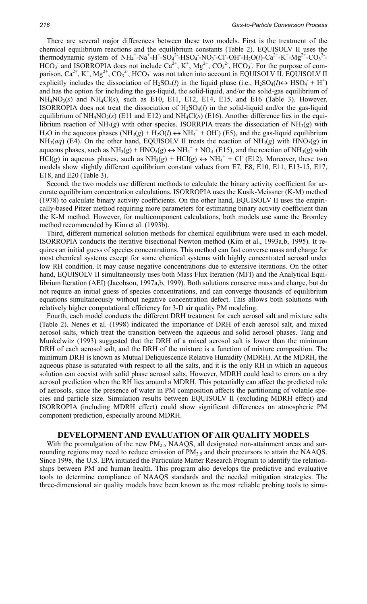There are several major differences between these two models. First is the treatment of the chemical equilibrium reactions and the equilibrium constants (Table 2). EQUISOLV II uses the thermodynamic system of  $NH_4^+$ -Na<sup>+</sup>-H<sup>+</sup>-SO<sub>4</sub><sup>2</sup>-HSO<sub>4</sub>-NO<sub>3</sub>-Cl-OH-H<sub>2</sub>O(*l*)-Ca<sup>2+</sup>-K<sup>+</sup>-Mg<sup>2+</sup>-CO<sub>3</sub><sup>2</sup>- $HCO<sub>3</sub>$  and ISORROPIA does not include  $Ca<sup>2+</sup>, K<sup>+</sup>, Mg<sup>2+</sup>, CO<sub>3</sub><sup>2</sup>$ ,  $HCO<sub>3</sub>$ . For the purpose of comparison,  $Ca^{2+}$ , K<sup>+</sup>, Mg<sup>2+</sup>, CO<sub>3</sub><sup>2</sup>, HCO<sub>3</sub> was not taken into account in EQUISOLV II. EQUISOLV II explicitly includes the dissociation of  $H_2SO_4(l)$  in the liquid phase (i.e.,  $H_2SO_4(l) \leftrightarrow HSO_4 + H^+$ ) and has the option for including the gas-liquid, the solid-liquid, and/or the solid-gas equilibrium of  $NH<sub>4</sub>NO<sub>3</sub>(s)$  and  $NH<sub>4</sub>Cl(s)$ , such as E10, E11, E12, E14, E15, and E16 (Table 3). However, ISORROPIA does not treat the dissociation of  $H_2SO_4(l)$  in the solid-liquid and/or the gas-liquid equilibrium of  $NH<sub>4</sub>NO<sub>3</sub>(s)$  (E11 and E12) and  $NH<sub>4</sub>Cl(s)$  (E16). Another difference lies in the equilibrium reaction of  $NH<sub>3</sub>(g)$  with other species. ISORRPIA treats the dissociation of  $NH<sub>3</sub>(g)$  with  $H_2O$  in the aqueous phases  $(NH_3(g) + H_2O(l) \leftrightarrow NH_4^+ + OH$  (E5), and the gas-liquid equilibrium  $NH<sub>3</sub>(aq)$  (E4). On the other hand, EQUISOLV II treats the reaction of  $NH<sub>3</sub>(g)$  with  $HNO<sub>3</sub>(g)$  in aqueous phases, such as  $NH_3(g) + HNO_3(g) \leftrightarrow NH_4^+ + NO_3^- (E15)$ , and the reaction of  $NH_3(g)$  with HCl(*g*) in aqueous phases, such as  $NH_3(g) + HCl(g) \leftrightarrow NH_4^+ + Cl^-(E12)$ . Moreover, these two models show slightly different equilibrium constant values from E7, E8, E10, E11, E13-15, E17, E18, and E20 (Table 3).

Second, the two models use different methods to calculate the binary activity coefficient for accurate equilibrium concentration calculations. ISORROPIA uses the Kusik-Meissner (K-M) method (1978) to calculate binary activity coefficients. On the other hand, EQUISOLV II uses the empirically-based Pitzer method requiring more parameters for estimating binary activity coefficient than the K-M method. However, for multicomponent calculations, both models use same the Bromley method recommended by Kim et al. (1993b).

Third, different numerical solution methods for chemical equilibrium were used in each model. ISORROPIA conducts the iterative bisectional Newton method (Kim et al., 1993a,b, 1995). It requires an initial guess of species concentrations. This method can fast converse mass and charge for most chemical systems except for some chemical systems with highly concentrated aerosol under low RH condition. It may cause negative concentrations due to extensive iterations. On the other hand, EQUISOLV II simultaneously uses both Mass Flux Iteration (MFI) and the Analytical Equilibrium Iteration (AEI) (Jacobson, 1997a,b, 1999). Both solutions conserve mass and charge, but do not require an initial guess of species concentrations, and can converge thousands of equilibrium equations simultaneously without negative concentration defect. This allows both solutions with relatively higher computational efficiency for 3-D air quality PM modeling.

Fourth, each model conducts the different DRH treatment for each aerosol salt and mixture salts (Table 2). Nenes et al. (1998) indicated the importance of DRH of each aerosol salt, and mixed aerosol salts, which treat the transition between the aqueous and solid aerosol phases. Tang and Munkelwitz (1993) suggested that the DRH of a mixed aerosol salt is lower than the minimum DRH of each aerosol salt, and the DRH of the mixture is a function of mixture composition. The minimum DRH is known as Mutual Deliquescence Relative Humidity (MDRH). At the MDRH, the aqueous phase is saturated with respect to all the salts, and it is the only RH in which an aqueous solution can coexist with solid phase aerosol salts. However, MDRH could lead to errors on a dry aerosol prediction when the RH lies around a MDRH. This potentially can affect the predicted role of aerosols, since the presence of water in PM composition affects the partitioning of volatile species and particle size. Simulation results between EQUISOLV II (excluding MDRH effect) and ISORROPIA (including MDRH effect) could show significant differences on atmospheric PM component prediction, especially around MDRH.

#### **DEVELOPMENT AND EVALUATION OF AIR QUALITY MODELS**

With the promulgation of the new  $PM<sub>2.5</sub> NAAQS$ , all designated non-attainment areas and surrounding regions may need to reduce emission of  $PM<sub>2.5</sub>$  and their precursors to attain the NAAQS. Since 1998, the U.S. EPA initiated the Particulate Matter Research Program to identify the relationships between PM and human health. This program also develops the predictive and evaluative tools to determine compliance of NAAQS standards and the needed mitigation strategies. The three-dimensional air quality models have been known as the most reliable probing tools to simu-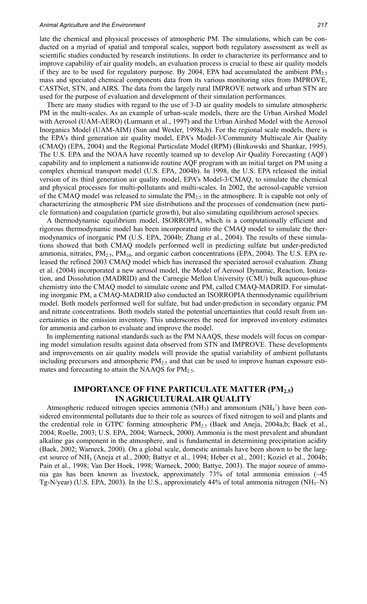#### *Animal Agriculture and the Environment 217*

late the chemical and physical processes of atmospheric PM. The simulations, which can be conducted on a myriad of spatial and temporal scales, support both regulatory assessment as well as scientific studies conducted by research institutions. In order to characterize its performance and to improve capability of air quality models, an evaluation process is crucial to these air quality models if they are to be used for regulatory purpose. By 2004, EPA had accumulated the ambient  $PM_{2.5}$ mass and speciated chemical components data from its various monitoring sites from IMPROVE, CASTNet, STN, and AIRS. The data from the largely rural IMPROVE network and urban STN are used for the purpose of evaluation and development of their simulation performances.

There are many studies with regard to the use of 3-D air quality models to simulate atmospheric PM in the multi-scales. As an example of urban-scale models, there are the Urban Airshed Model with Aerosol (UAM-AERO) (Lurmann et al., 1997) and the Urban Airshed Model with the Aerosol Inorganics Model (UAM-AIM) (Sun and Wexler, 1998a,b). For the regional scale models, there is the EPA's third generation air quality model, EPA's Model-3/Community Multiscale Air Quality (CMAQ) (EPA, 2004) and the Regional Particulate Model (RPM) (Binkowski and Shankar, 1995). The U.S. EPA and the NOAA have recently teamed up to develop Air Quality Forecasting (AQF) capability and to implement a nationwide routine AQF program with an initial target on PM using a complex chemical transport model (U.S. EPA, 2004b). In 1998, the U.S. EPA released the initial version of its third generation air quality model, EPA's Model-3/CMAQ, to simulate the chemical and physical processes for multi-pollutants and multi-scales. In 2002, the aerosol-capable version of the CMAQ model was released to simulate the PM<sub>2.5</sub> in the atmosphere. It is capable not only of characterizing the atmospheric PM size distributions and the processes of condensation (new particle formation) and coagulation (particle growth), but also simulating equilibrium aerosol species.

A thermodynamic equilibrium model, ISORROPIA, which is a computationally efficient and rigorous thermodynamic model has been incorporated into the CMAQ model to simulate the thermodynamics of inorganic PM (U.S. EPA, 2004b; Zhang et al., 2004). The results of these simulations showed that both CMAQ models performed well in predicting sulfate but under-predicted ammonia, nitrates,  $PM_{2.5}$ ,  $PM_{10}$ , and organic carbon concentrations (EPA, 2004). The U.S. EPA released the refined 2003 CMAQ model which has increased the speciated aerosol evaluation. Zhang et al. (2004) incorporated a new aerosol model, the Model of Aerosol Dynamic, Reaction, Ionization, and Dissolution (MADRID) and the Carnegie Mellon University (CMU) bulk aqueous-phase chemistry into the CMAQ model to simulate ozone and PM, called CMAQ-MADRID. For simulating inorganic PM, a CMAQ-MADRID also conducted an ISORROPIA thermodynamic equilibrium model. Both models performed well for sulfate, but had under-prediction in secondary organic PM and nitrate concentrations. Both models stated the potential uncertainties that could result from uncertainties in the emission inventory. This underscores the need for improved inventory estimates for ammonia and carbon to evaluate and improve the model.

In implementing national standards such as the PM NAAQS, these models will focus on comparing model simulation results against data observed from STN and IMPROVE. These developments and improvements on air quality models will provide the spatial variability of ambient pollutants including precursors and atmospheric  $PM<sub>2.5</sub>$  and that can be used to improve human exposure estimates and forecasting to attain the NAAQS for  $PM<sub>2.5</sub>$ .

## **IMPORTANCE OF FINE PARTICULATE MATTER (PM2.5) IN AGRICULTURAL AIR QUALITY**

Atmospheric reduced nitrogen species ammonia (NH<sub>3</sub>) and ammonium (NH<sub>4</sub><sup>+</sup>) have been considered environmental pollutants due to their role as sources of fixed nitrogen to soil and plants and the credential role in GTPC forming atmospheric PM2.5 (Baek and Aneja, 2004a,b; Baek et al., 2004; Roelle, 2003; U.S. EPA, 2004; Warneck, 2000). Ammonia is the most prevalent and abundant alkaline gas component in the atmosphere, and is fundamental in determining precipitation acidity (Baek, 2002; Warneck, 2000). On a global scale, domestic animals have been shown to be the largest source of NH3 (Aneja et al., 2000; Battye et al., 1994; Heber et al., 2001; Koziel et al., 2004b; Pain et al., 1998; Van Der Hoek, 1998; Warneck, 2000; Battye, 2003). The major source of ammonia gas has been known as livestock, approximately 73% of total ammonia emission (~45 Tg-N/year) (U.S. EPA, 2003). In the U.S., approximately 44% of total ammonia nitrogen (NH<sub>3</sub>–N)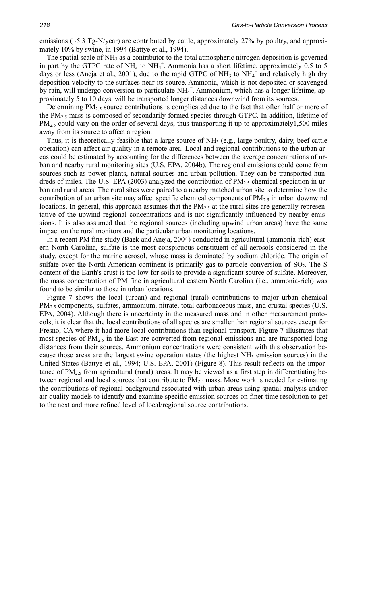emissions (~5.3 Tg-N/year) are contributed by cattle, approximately 27% by poultry, and approximately 10% by swine, in 1994 (Battye et al., 1994).

The spatial scale of NH<sub>3</sub> as a contributor to the total atmospheric nitrogen deposition is governed in part by the GTPC rate of NH<sub>3</sub> to NH<sub>4</sub><sup>+</sup>. Ammonia has a short lifetime, approximately 0.5 to 5 days or less (Aneja et al., 2001), due to the rapid GTPC of NH<sub>3</sub> to NH<sub>4</sub><sup>+</sup> and relatively high dry deposition velocity to the surfaces near its source. Ammonia, which is not deposited or scavenged by rain, will undergo conversion to particulate  $NH_4^+$ . Ammonium, which has a longer lifetime, approximately 5 to 10 days, will be transported longer distances downwind from its sources.

Determining PM<sub>2.5</sub> source contributions is complicated due to the fact that often half or more of the PM2.5 mass is composed of secondarily formed species through GTPC. In addition, lifetime of PM<sub>2.5</sub> could vary on the order of several days, thus transporting it up to approximately1,500 miles away from its source to affect a region.

Thus, it is theoretically feasible that a large source of  $NH<sub>3</sub>$  (e.g., large poultry, dairy, beef cattle operation) can affect air quality in a remote area. Local and regional contributions to the urban areas could be estimated by accounting for the differences between the average concentrations of urban and nearby rural monitoring sites (U.S. EPA, 2004b). The regional emissions could come from sources such as power plants, natural sources and urban pollution. They can be transported hundreds of miles. The U.S. EPA (2003) analyzed the contribution of  $PM<sub>2.5</sub>$  chemical speciation in urban and rural areas. The rural sites were paired to a nearby matched urban site to determine how the contribution of an urban site may affect specific chemical components of  $PM_{2.5}$  in urban downwind locations. In general, this approach assumes that the  $PM_{2.5}$  at the rural sites are generally representative of the upwind regional concentrations and is not significantly influenced by nearby emissions. It is also assumed that the regional sources (including upwind urban areas) have the same impact on the rural monitors and the particular urban monitoring locations.

In a recent PM fine study (Baek and Aneja, 2004) conducted in agricultural (ammonia-rich) eastern North Carolina, sulfate is the most conspicuous constituent of all aerosols considered in the study, except for the marine aerosol, whose mass is dominated by sodium chloride. The origin of sulfate over the North American continent is primarily gas-to-particle conversion of  $SO_2$ . The S content of the Earth's crust is too low for soils to provide a significant source of sulfate. Moreover, the mass concentration of PM fine in agricultural eastern North Carolina (i.e., ammonia-rich) was found to be similar to those in urban locations.

Figure 7 shows the local (urban) and regional (rural) contributions to major urban chemical PM<sub>2.5</sub> components, sulfates, ammonium, nitrate, total carbonaceous mass, and crustal species (U.S. EPA, 2004). Although there is uncertainty in the measured mass and in other measurement protocols, it is clear that the local contributions of all species are smaller than regional sources except for Fresno, CA where it had more local contributions than regional transport. Figure 7 illustrates that most species of PM<sub>2.5</sub> in the East are converted from regional emissions and are transported long distances from their sources. Ammonium concentrations were consistent with this observation because those areas are the largest swine operation states (the highest NH3 emission sources) in the United States (Battye et al., 1994; U.S. EPA, 2001) (Figure 8). This result reflects on the importance of  $PM_{2.5}$  from agricultural (rural) areas. It may be viewed as a first step in differentiating between regional and local sources that contribute to PM<sub>2.5</sub> mass. More work is needed for estimating the contributions of regional background associated with urban areas using spatial analysis and/or air quality models to identify and examine specific emission sources on finer time resolution to get to the next and more refined level of local/regional source contributions.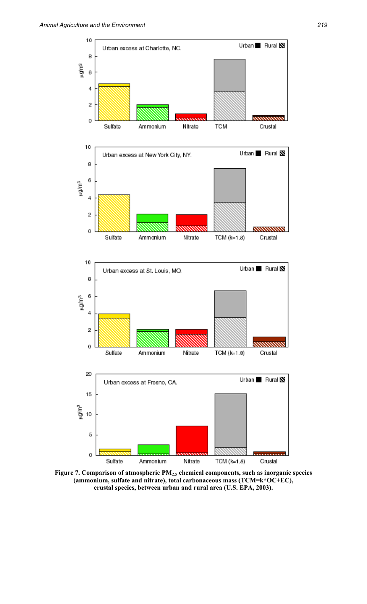

**Figure 7. Comparison of atmospheric PM2.5 chemical components, such as inorganic species (ammonium, sulfate and nitrate), total carbonaceous mass (TCM=k\*OC+EC), crustal species, between urban and rural area (U.S. EPA, 2003).**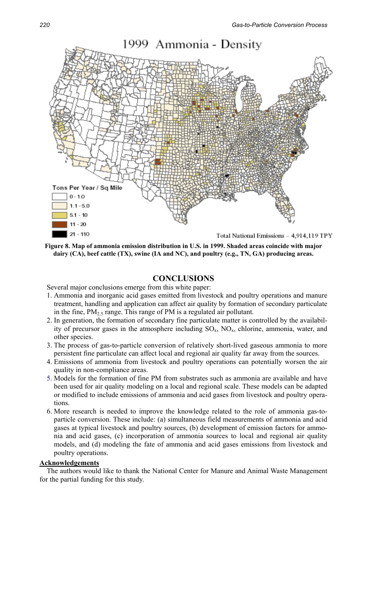

**Figure 8. Map of ammonia emission distribution in U.S. in 1999. Shaded areas coincide with major dairy (CA), beef cattle (TX), swine (IA and NC), and poultry (e.g., TN, GA) producing areas.** 

# **CONCLUSIONS**

Several major conclusions emerge from this white paper:

- 1. Ammonia and inorganic acid gases emitted from livestock and poultry operations and manure treatment, handling and application can affect air quality by formation of secondary particulate in the fine,  $PM_{2.5}$  range. This range of PM is a regulated air pollutant.
- 2. In generation, the formation of secondary fine particulate matter is controlled by the availability of precursor gases in the atmosphere including  $SO_x$ ,  $NO_x$ , chlorine, ammonia, water, and other species.
- 3. The process of gas-to-particle conversion of relatively short-lived gaseous ammonia to more persistent fine particulate can affect local and regional air quality far away from the sources.
- 4. Emissions of ammonia from livestock and poultry operations can potentially worsen the air quality in non-compliance areas.
- 5. Models for the formation of fine PM from substrates such as ammonia are available and have been used for air quality modeling on a local and regional scale. These models can be adapted or modified to include emissions of ammonia and acid gases from livestock and poultry operations.
- 6. More research is needed to improve the knowledge related to the role of ammonia gas-toparticle conversion. These include: (a) simultaneous field measurements of ammonia and acid gases at typical livestock and poultry sources, (b) development of emission factors for ammonia and acid gases, (c) incorporation of ammonia sources to local and regional air quality models, and (d) modeling the fate of ammonia and acid gases emissions from livestock and poultry operations.

#### **Acknowledgements**

The authors would like to thank the National Center for Manure and Animal Waste Management for the partial funding for this study.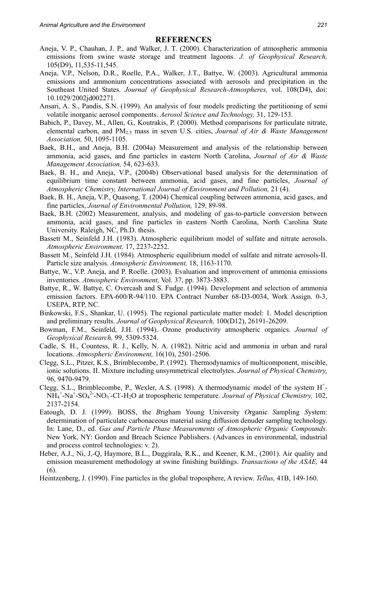#### **REFERENCES**

- Aneja, V. P., Chauhan, J. P., and Walker, J. T. (2000). Characterization of atmospheric ammonia emissions from swine waste storage and treatment lagoons. *J. of Geophysical Research,* 105(D9), 11,535-11,545.
- Aneja, V.P., Nelson, D.R., Roelle, P.A., Walker, J.T., Battye, W. (2003). Agricultural ammonia emissions and ammonium concentrations associated with aerosols and precipitation in the Southeast United States. *Journal of Geophysical Research-Atmospheres,* vol. 108(D4), doi: 10.1029/2002jd002271.
- Ansari, A. S., Pandis, S.N. (1999). An analysis of four models predicting the partitioning of semi volatile inorganic aerosol components. *Aerosol Science and Technology,* 31, 129-153.
- Babich, P., Davey, M., Allen, G., Koutrakis, P. (2000). Method comparisons for particulate nitrate, elemental carbon, and PM2.5 mass in seven U.S. cities, *Journal of Air & Waste Management Association,* 50, 1095-1105.
- Baek, B.H., and Aneja, B.H. (2004a) Measurement and analysis of the relationship between ammonia, acid gases, and fine particles in eastern North Carolina, *Journal of Air & Waste Management Association,* 54, 623-633.
- Baek, B. H., and Aneja, V.P., (2004b) Observational based analysis for the determination of equilibrium time constant between ammonia, acid gases, and fine particles, *Journal of Atmospheric Chemistry, International Journal of Environment and Pollution,* 21 (4).
- Baek, B. H., Aneja, V.P., Quasong, T. (2004) Chemical coupling between ammonia, acid gases, and fine particles, *Journal of Environmental Pollution,* 129, 89-98.
- Baek, B.H. (2002) Measurement, analysis, and modeling of gas-to-particle conversion between ammonia, acid gases, and fine particles in eastern North Carolina, North Carolina State University. Raleigh, NC, Ph.D. thesis.
- Bassett M., Seinfeld J.H. (1983). Atmospheric equilibrium model of sulfate and nitrate aerosols. *Atmospheric Environment,* 17, 2237-2252.
- Bassett M., Seinfeld J.H. (1984). Atmospheric equilibrium model of sulfate and nitrate aerosols-II. Particle size analysis. *Atmospheric Environment,* 18, 1163-1170.
- Battye, W., V.P. Aneja, and P. Roelle. (2003). Evaluation and improvement of ammonia emissions inventories. *Atmospheric Environment,* Vol. 37, pp. 3873-3883.
- Battye, R., W. Battye, C. Overcash and S. Fudge. (1994). Development and selection of ammonia emission factors. EPA-600/R-94/110. EPA Contract Number 68-D3-0034, Work Assign. 0-3, USEPA, RTP, NC.
- Binkowski, F.S., Shankar, U. (1995). The regional particulate matter model: 1. Model description and preliminary results. *Journal of Geophysical Research,* 100(D12), 26191-26209.
- Bowman, F.M., Seinfeld, J.H. (1994). Ozone productivity atmospheric organics. *Journal of Geophysical Research,* 99, 5309-5324.
- Cadle, S. H., Countess, R. J., Kelly, N. A. (1982). Nitric acid and ammonia in urban and rural locations. *Atmospheric Environment,* 16(10), 2501-2506.
- Clegg, S.L., Pitzer, K.S., Brimblecombe, P. (1992). Thermodynamics of multicomponent, miscible, ionic solutions. II. Mixture including unsymmetrical electrolytes. *Journal of Physical Chemistry,* 96, 9470-9479.
- Clegg, S.L., Brimblecombe, P., Wexler, A.S. (1998). A thermodynamic model of the system  $H^+$ -NH<sub>4</sub><sup>+</sup>-Na<sup>+</sup>-SO<sub>4</sub><sup>2</sup>-NO<sub>3</sub>-Cl-H<sub>2</sub>O at tropospheric temperature. *Journal of Physical Chemistry*, 102, 2137-2154.
- Eatough, D. J. (1999). BOSS, the *B*righam Young University *O*rganic *S*ampling *S*ystem: determination of particulate carbonaceous material using diffusion denuder sampling technology. In: Lane, D., ed. *Gas and Particle Phase Measurements of Atmospheric Organic Compounds.* New York, NY: Gordon and Breach Science Publishers. (Advances in environmental, industrial and process control technologies: v. 2).
- Heber, A.J., Ni, J,-Q, Haymore, B.L., Duggirala, R.K., and Keener, K.M., (2001). Air quality and emission measurement methodology at swine finishing buildings. *Transactions of the ASAE,* 44 (6).
- Heintzenberg, J. (1990). Fine particles in the global troposphere, A review. *Tellus,* 41B, 149-160.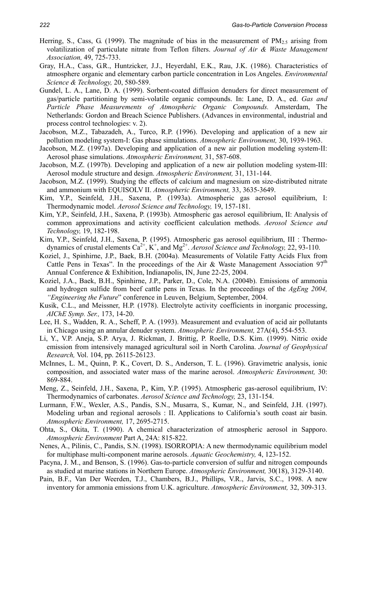- Herring, S., Cass, G. (1999). The magnitude of bias in the measurement of  $PM_{2.5}$  arising from volatilization of particulate nitrate from Teflon filters. *Journal of Air & Waste Management Association,* 49, 725-733.
- Gray, H.A., Cass, G.R., Huntzicker, J.J., Heyerdahl, E.K., Rau, J.K. (1986). Characteristics of atmosphere organic and elementary carbon particle concentration in Los Angeles. *Environmental Science & Technology,* 20, 580-589.
- Gundel, L. A., Lane, D. A. (1999). Sorbent-coated diffusion denuders for direct measurement of gas/particle partitioning by semi-volatile organic compounds. In: Lane, D. A., ed. *Gas and Particle Phase Measurements of Atmospheric Organic Compounds.* Amsterdam, The Netherlands: Gordon and Breach Science Publishers. (Advances in environmental, industrial and process control technologies: v. 2).
- Jacobson, M.Z., Tabazadeh, A., Turco, R.P. (1996). Developing and application of a new air pollution modeling system-I: Gas phase simulations. *Atmospheric Environment,* 30, 1939-1963.
- Jacobson, M.Z. (1997a). Developing and application of a new air pollution modeling system-II: Aerosol phase simulations. *Atmospheric Environment,* 31, 587-608.
- Jacobson, M.Z. (1997b). Developing and application of a new air pollution modeling system-III: Aerosol module structure and design. *Atmospheric Environment,* 31, 131-144.
- Jacobson, M.Z. (1999). Studying the effects of calcium and magnesium on size-distributed nitrate and ammonium with EQUISOLV II. *Atmospheric Environment,* 33, 3635-3649.
- Kim, Y.P., Seinfeld, J.H., Saxena, P. (1993a). Atmospheric gas aerosol equilibrium, I: Thermodynamic model. *Aerosol Science and Technology,* 19, 157-181.
- Kim, Y.P., Seinfeld, J.H., Saxena, P. (1993b). Atmospheric gas aerosol equilibrium, II: Analysis of common approximations and activity coefficient calculation methods. *Aerosol Science and Technology,* 19, 182-198.
- Kim, Y.P., Seinfeld, J.H., Saxena, P. (1995). Atmospheric gas aerosol equilibrium, III : Thermodynamics of crustal elements  $Ca^{2+}$ ,  $K^+$ , and  $Mg^{2+}$ . *Aerosol Science and Technology*, 22, 93-110.
- Koziel, J., Spinhirne, J.P., Baek, B.H. (2004a). Measurements of Volatile Fatty Acids Flux from Cattle Pens in Texas". In the proceedings of the Air & Waste Management Association  $97<sup>th</sup>$ Annual Conference & Exhibition, Indianapolis, IN, June 22-25, 2004.
- Koziel, J.A., Baek, B.H., Spinhirne, J.P., Parker, D., Cole, N.A. (2004b). Emissions of ammonia and hydrogen sulfide from beef cattle pens in Texas. In the proceedings of the *AgEng 2004, "Engineering the Future*" conference in Leuven, Belgium, September, 2004.
- Kusik, C.L., and Meissner, H.P. (1978). Electrolyte activity coefficients in inorganic processing, *AIChE Symp. Ser.,* 173, 14-20.
- Lee, H. S., Wadden, R. A., Scheff, P. A. (1993). Measurement and evaluation of acid air pollutants in Chicago using an annular denuder system. *Atmospheric Environment,* 27A(4), 554-553.
- Li, Y., V.P. Aneja, S.P. Arya, J. Rickman, J. Brittig, P. Roelle, D.S. Kim. (1999). Nitric oxide emission from intensively managed agricultural soil in North Carolina. *Journal of Geophysical Research,* Vol. 104, pp. 26115-26123.
- McInnes, L. M., Quinn, P. K., Covert, D. S., Anderson, T. L. (1996). Gravimetric analysis, ionic composition, and associated water mass of the marine aerosol. *Atmospheric Environment,* 30: 869-884.
- Meng, Z., Seinfeld, J.H., Saxena, P., Kim, Y.P. (1995). Atmospheric gas-aerosol equilibrium, IV: Thermodynamics of carbonates. *Aerosol Science and Technology,* 23, 131-154.
- Lurmann, F.W., Wexler, A.S., Pandis, S.N., Musarra, S., Kumar, N., and Seinfeld, J.H. (1997). Modeling urban and regional aerosols : II. Applications to California's south coast air basin. *Atmospheric Environment,* 17, 2695-2715.
- Ohta, S., Okita, T. (1990). A chemical characterization of atmospheric aerosol in Sapporo. *Atmospheric Environment* Part A, 24A: 815-822.
- Nenes, A., Pilinis, C., Pandis, S.N. (1998). ISORROPIA: A new thermodynamic equilibrium model for multiphase multi-component marine aerosols. *Aquatic Geochemistry,* 4, 123-152.
- Pacyna, J. M., and Benson, S. (1996). Gas-to-particle conversion of sulfur and nitrogen compounds as studied at marine stations in Northern Europe. *Atmospheric Environment,* 30(18), 3129-3140.
- Pain, B.F., Van Der Weerden, T.J., Chambers, B.J., Phillips, V.R., Jarvis, S.C., 1998. A new inventory for ammonia emissions from U.K. agriculture. *Atmospheric Environment,* 32, 309-313.